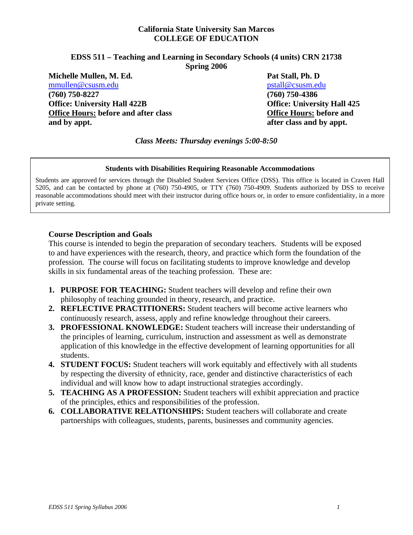### **California State University San Marcos COLLEGE OF EDUCATION**

### **EDSS 511 – Teaching and Learning in Secondary Schools (4 units) CRN 21738 Spring 2006**

**Michelle Mullen, M. Ed.** Pat Stall, Ph. D mmullen@csusm.edu pstall@csusm.edu **(760) 750-8227 (760) 750-4386 Office: University Hall 422B Office: University Hall 425 Office Hours: before and after class Office Hours: before and and by appt. after class and by appt.** 

*Class Meets: Thursday evenings 5:00-8:50*

### **Students with Disabilities Requiring Reasonable Accommodations**

Students are approved for services through the Disabled Student Services Office (DSS). This office is located in Craven Hall 5205, and can be contacted by phone at (760) 750-4905, or TTY (760) 750-4909. Students authorized by DSS to receive reasonable accommodations should meet with their instructor during office hours or, in order to ensure confidentiality, in a more private setting.

### **Course Description and Goals**

This course is intended to begin the preparation of secondary teachers. Students will be exposed to and have experiences with the research, theory, and practice which form the foundation of the profession. The course will focus on facilitating students to improve knowledge and develop skills in six fundamental areas of the teaching profession. These are:

- **1. PURPOSE FOR TEACHING:** Student teachers will develop and refine their own philosophy of teaching grounded in theory, research, and practice.
- **2. REFLECTIVE PRACTITIONERS:** Student teachers will become active learners who continuously research, assess, apply and refine knowledge throughout their careers.
- **3. PROFESSIONAL KNOWLEDGE:** Student teachers will increase their understanding of the principles of learning, curriculum, instruction and assessment as well as demonstrate application of this knowledge in the effective development of learning opportunities for all students.
- **4. STUDENT FOCUS:** Student teachers will work equitably and effectively with all students by respecting the diversity of ethnicity, race, gender and distinctive characteristics of each individual and will know how to adapt instructional strategies accordingly.
- **5. TEACHING AS A PROFESSION:** Student teachers will exhibit appreciation and practice of the principles, ethics and responsibilities of the profession.
- **6. COLLABORATIVE RELATIONSHIPS:** Student teachers will collaborate and create partnerships with colleagues, students, parents, businesses and community agencies.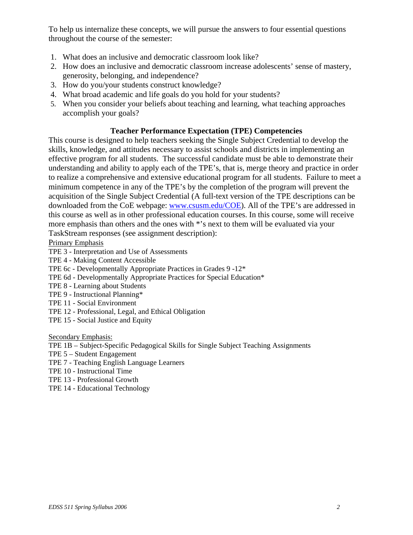To help us internalize these concepts, we will pursue the answers to four essential questions throughout the course of the semester:

- 1. What does an inclusive and democratic classroom look like?
- 2. How does an inclusive and democratic classroom increase adolescents' sense of mastery, generosity, belonging, and independence?
- 3. How do you/your students construct knowledge?
- 4. What broad academic and life goals do you hold for your students?
- 5. When you consider your beliefs about teaching and learning, what teaching approaches accomplish your goals?

## **Teacher Performance Expectation (TPE) Competencies**

This course is designed to help teachers seeking the Single Subject Credential to develop the skills, knowledge, and attitudes necessary to assist schools and districts in implementing an effective program for all students. The successful candidate must be able to demonstrate their understanding and ability to apply each of the TPE's, that is, merge theory and practice in order to realize a comprehensive and extensive educational program for all students. Failure to meet a minimum competence in any of the TPE's by the completion of the program will prevent the acquisition of the Single Subject Credential (A full-text version of the TPE descriptions can be downloaded from the CoE webpage: www.csusm.edu/COE). All of the TPE's are addressed in this course as well as in other professional education courses. In this course, some will receive more emphasis than others and the ones with \*'s next to them will be evaluated via your TaskStream responses (see assignment description):

Primary Emphasis

- TPE 3 Interpretation and Use of Assessments
- TPE 4 Making Content Accessible
- TPE 6c Developmentally Appropriate Practices in Grades 9 -12\*
- TPE 6d Developmentally Appropriate Practices for Special Education\*
- TPE 8 Learning about Students
- TPE 9 Instructional Planning\*
- TPE 11 Social Environment
- TPE 12 Professional, Legal, and Ethical Obligation
- TPE 15 Social Justice and Equity

### Secondary Emphasis:

- TPE 1B Subject-Specific Pedagogical Skills for Single Subject Teaching Assignments
- TPE 5 Student Engagement
- TPE 7 Teaching English Language Learners
- TPE 10 Instructional Time
- TPE 13 Professional Growth
- TPE 14 Educational Technology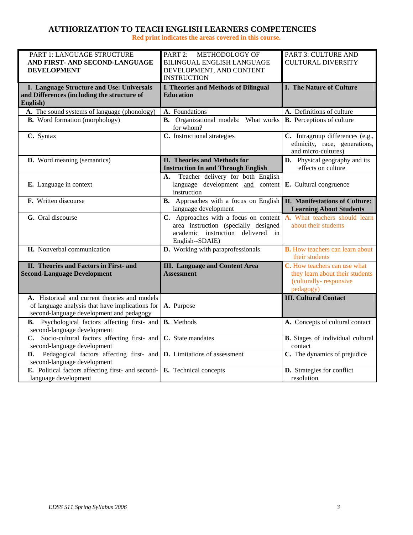# **AUTHORIZATION TO TEACH ENGLISH LEARNERS COMPETENCIES**

**Red print indicates the areas covered in this course.** 

| PART 1: LANGUAGE STRUCTURE<br>AND FIRST- AND SECOND-LANGUAGE<br><b>DEVELOPMENT</b>                                                           | PART 2:<br>METHODOLOGY OF<br>BILINGUAL ENGLISH LANGUAGE<br>DEVELOPMENT, AND CONTENT<br><b>INSTRUCTION</b>                             | PART 3: CULTURE AND<br><b>CULTURAL DIVERSITY</b>                                                       |
|----------------------------------------------------------------------------------------------------------------------------------------------|---------------------------------------------------------------------------------------------------------------------------------------|--------------------------------------------------------------------------------------------------------|
| I. Language Structure and Use: Universals<br>and Differences (including the structure of<br>English)                                         | <b>I. Theories and Methods of Bilingual</b><br><b>Education</b>                                                                       | <b>I. The Nature of Culture</b>                                                                        |
| A. The sound systems of language (phonology)                                                                                                 | A. Foundations                                                                                                                        | A. Definitions of culture                                                                              |
| <b>B.</b> Word formation (morphology)                                                                                                        | <b>B.</b> Organizational models: What works<br>for whom?                                                                              | <b>B.</b> Perceptions of culture                                                                       |
| C. Syntax                                                                                                                                    | C. Instructional strategies                                                                                                           | C. Intragroup differences (e.g.,<br>ethnicity, race, generations,<br>and micro-cultures)               |
| D. Word meaning (semantics)                                                                                                                  | II. Theories and Methods for<br><b>Instruction In and Through English</b>                                                             | <b>D.</b> Physical geography and its<br>effects on culture                                             |
| E. Language in context                                                                                                                       | Teacher delivery for both English<br>А.<br>language development and content<br>instruction                                            | E. Cultural congruence                                                                                 |
| F. Written discourse                                                                                                                         | <b>B.</b> Approaches with a focus on English<br>language development                                                                  | <b>II. Manifestations of Culture:</b><br><b>Learning About Students</b>                                |
| G. Oral discourse                                                                                                                            | C. Approaches with a focus on content<br>area instruction (specially designed<br>academic instruction delivered in<br>English--SDAIE) | A. What teachers should learn<br>about their students                                                  |
| H. Nonverbal communication                                                                                                                   | D. Working with paraprofessionals                                                                                                     | <b>B.</b> How teachers can learn about<br>their students                                               |
| II. Theories and Factors in First- and<br><b>Second-Language Development</b>                                                                 | <b>III.</b> Language and Content Area<br><b>Assessment</b>                                                                            | C. How teachers can use what<br>they learn about their students<br>(culturally-responsive<br>pedagogy) |
| A. Historical and current theories and models<br>of language analysis that have implications for<br>second-language development and pedagogy | A. Purpose                                                                                                                            | <b>III. Cultural Contact</b>                                                                           |
| <b>B.</b> Psychological factors affecting first- and<br>second-language development                                                          | <b>B.</b> Methods                                                                                                                     | A. Concepts of cultural contact                                                                        |
| C. Socio-cultural factors affecting first- and<br>second-language development                                                                | C. State mandates                                                                                                                     | B. Stages of individual cultural<br>contact                                                            |
| Pedagogical factors affecting first- and $\overline{D}$ . Limitations of assessment<br>D.<br>second-language development                     |                                                                                                                                       | C. The dynamics of prejudice                                                                           |
| E. Political factors affecting first- and second-<br>language development                                                                    | E. Technical concepts                                                                                                                 | D. Strategies for conflict<br>resolution                                                               |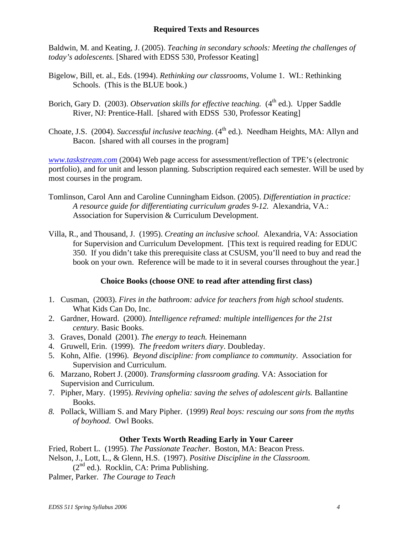# **Required Texts and Resources**

Baldwin, M. and Keating, J. (2005). *Teaching in secondary schools: Meeting the challenges of today's adolescents.* [Shared with EDSS 530, Professor Keating]

- Bigelow, Bill, et. al., Eds. (1994). *Rethinking our classrooms,* Volume 1. WI.: Rethinking Schools. (This is the BLUE book.)
- Borich, Gary D. (2003). *Observation skills for effective teaching.* (4<sup>th</sup> ed.). Upper Saddle River, NJ: Prentice-Hall. [shared with EDSS 530, Professor Keating]
- Choate, J.S. (2004). *Successful inclusive teaching*. (4<sup>th</sup> ed.). Needham Heights, MA: Allyn and Bacon. [shared with all courses in the program]

*www.taskstream.com* (2004) Web page access for assessment/reflection of TPE's (electronic portfolio), and for unit and lesson planning. Subscription required each semester. Will be used by most courses in the program.

- Tomlinson, Carol Ann and Caroline Cunningham Eidson. (2005). *Differentiation in practice: A resource guide for differentiating curriculum grades 9-12.* Alexandria, VA.: Association for Supervision & Curriculum Development.
- Villa, R., and Thousand, J. (1995). *Creating an inclusive school.* Alexandria, VA: Association for Supervision and Curriculum Development. [This text is required reading for EDUC 350. If you didn't take this prerequisite class at CSUSM, you'll need to buy and read the book on your own. Reference will be made to it in several courses throughout the year.]

# **Choice Books (choose ONE to read after attending first class)**

- 1. Cusman, (2003). *Fires in the bathroom: advice for teachers from high school students.* What Kids Can Do, Inc.
- 2. Gardner, Howard. (2000). *Intelligence reframed: multiple intelligences for the 21st century.* Basic Books.
- 3. Graves, Donald (2001). *The energy to teach.* Heinemann
- 4. Gruwell, Erin. (1999). *The freedom writers diary*. Doubleday.
- 5. Kohn, Alfie. (1996). *Beyond discipline: from compliance to community*. Association for Supervision and Curriculum.
- 6. Marzano, Robert J. (2000). *Transforming classroom grading.* VA: Association for Supervision and Curriculum.
- 7. Pipher, Mary. (1995). *Reviving ophelia: saving the selves of adolescent girls.* Ballantine Books.
- *8.* Pollack, William S. and Mary Pipher. (1999) *Real boys: rescuing our sons from the myths of boyhood*. Owl Books.

# **Other Texts Worth Reading Early in Your Career**

Fried, Robert L. (1995). *The Passionate Teacher*. Boston, MA: Beacon Press.

Nelson, J., Lott, L., & Glenn, H.S. (1997). *Positive Discipline in the Classroom.*  $(2^{nd}$  ed.). Rocklin, CA: Prima Publishing.

Palmer, Parker. *The Courage to Teach*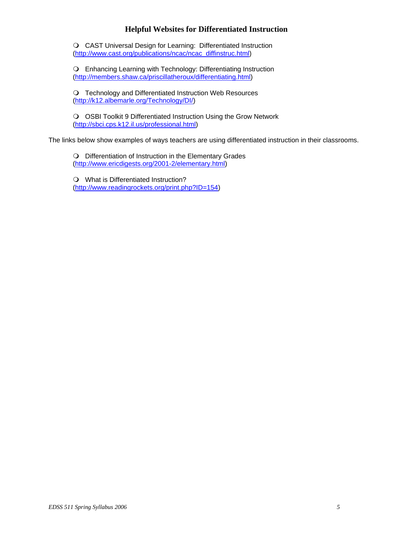# **Helpful Websites for Differentiated Instruction**

 CAST Universal Design for Learning: Differentiated Instruction (http://www.cast.org/publications/ncac/ncac\_diffinstruc.html)

 Enhancing Learning with Technology: Differentiating Instruction (http://members.shaw.ca/priscillatheroux/differentiating.html)

 Technology and Differentiated Instruction Web Resources (http://k12.albemarle.org/Technology/DI/)

O OSBI Toolkit 9 Differentiated Instruction Using the Grow Network (http://sbci.cps.k12.il.us/professional.html)

The links below show examples of ways teachers are using differentiated instruction in their classrooms.

O Differentiation of Instruction in the Elementary Grades (http://www.ericdigests.org/2001-2/elementary.html)

 What is Differentiated Instruction? (http://www.readingrockets.org/print.php?ID=154)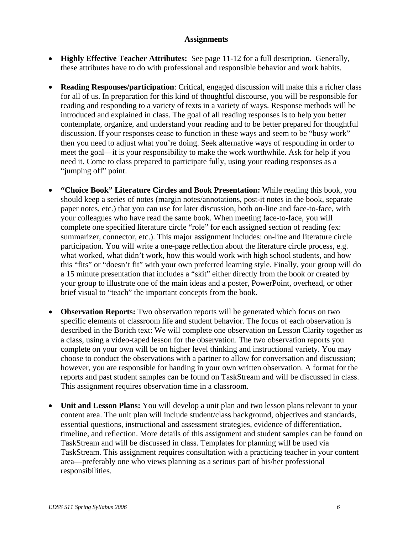### **Assignments**

- **Highly Effective Teacher Attributes:** See page 11-12 for a full description. Generally, these attributes have to do with professional and responsible behavior and work habits.
- **Reading Responses/participation**: Critical, engaged discussion will make this a richer class for all of us. In preparation for this kind of thoughtful discourse, you will be responsible for reading and responding to a variety of texts in a variety of ways. Response methods will be introduced and explained in class. The goal of all reading responses is to help you better contemplate, organize, and understand your reading and to be better prepared for thoughtful discussion. If your responses cease to function in these ways and seem to be "busy work" then you need to adjust what you're doing. Seek alternative ways of responding in order to meet the goal—it is your responsibility to make the work worthwhile. Ask for help if you need it. Come to class prepared to participate fully, using your reading responses as a "jumping off" point.
- **"Choice Book" Literature Circles and Book Presentation:** While reading this book, you should keep a series of notes (margin notes/annotations, post-it notes in the book, separate paper notes, etc.) that you can use for later discussion, both on-line and face-to-face, with your colleagues who have read the same book. When meeting face-to-face, you will complete one specified literature circle "role" for each assigned section of reading (ex: summarizer, connector, etc.). This major assignment includes: on-line and literature circle participation. You will write a one-page reflection about the literature circle process, e.g. what worked, what didn't work, how this would work with high school students, and how this "fits" or "doesn't fit" with your own preferred learning style. Finally, your group will do a 15 minute presentation that includes a "skit" either directly from the book or created by your group to illustrate one of the main ideas and a poster, PowerPoint, overhead, or other brief visual to "teach" the important concepts from the book.
- **Observation Reports:** Two observation reports will be generated which focus on two specific elements of classroom life and student behavior. The focus of each observation is described in the Borich text: We will complete one observation on Lesson Clarity together as a class, using a video-taped lesson for the observation. The two observation reports you complete on your own will be on higher level thinking and instructional variety. You may choose to conduct the observations with a partner to allow for conversation and discussion; however, you are responsible for handing in your own written observation. A format for the reports and past student samples can be found on TaskStream and will be discussed in class. This assignment requires observation time in a classroom.
- **Unit and Lesson Plans:** You will develop a unit plan and two lesson plans relevant to your content area. The unit plan will include student/class background, objectives and standards, essential questions, instructional and assessment strategies, evidence of differentiation, timeline, and reflection. More details of this assignment and student samples can be found on TaskStream and will be discussed in class. Templates for planning will be used via TaskStream. This assignment requires consultation with a practicing teacher in your content area—preferably one who views planning as a serious part of his/her professional responsibilities.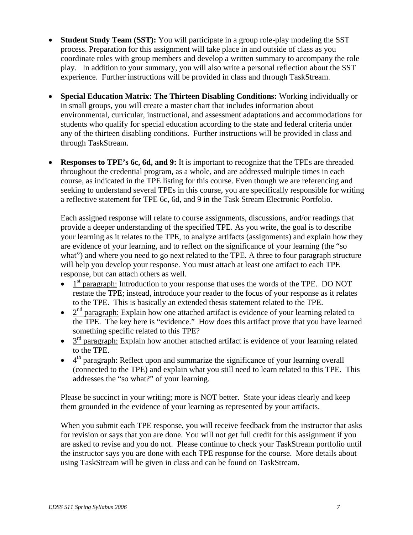- **Student Study Team (SST):** You will participate in a group role-play modeling the SST process. Preparation for this assignment will take place in and outside of class as you coordinate roles with group members and develop a written summary to accompany the role play. In addition to your summary, you will also write a personal reflection about the SST experience. Further instructions will be provided in class and through TaskStream.
- **Special Education Matrix: The Thirteen Disabling Conditions:** Working individually or in small groups, you will create a master chart that includes information about environmental, curricular, instructional, and assessment adaptations and accommodations for students who qualify for special education according to the state and federal criteria under any of the thirteen disabling conditions. Further instructions will be provided in class and through TaskStream.
- **Responses to TPE's 6c, 6d, and 9:** It is important to recognize that the TPEs are threaded throughout the credential program, as a whole, and are addressed multiple times in each course, as indicated in the TPE listing for this course. Even though we are referencing and seeking to understand several TPEs in this course, you are specifically responsible for writing a reflective statement for TPE 6c, 6d, and 9 in the Task Stream Electronic Portfolio.

Each assigned response will relate to course assignments, discussions, and/or readings that provide a deeper understanding of the specified TPE. As you write, the goal is to describe your learning as it relates to the TPE, to analyze artifacts (assignments) and explain how they are evidence of your learning, and to reflect on the significance of your learning (the "so what") and where you need to go next related to the TPE. A three to four paragraph structure will help you develop your response. You must attach at least one artifact to each TPE response, but can attach others as well.

- $\bullet$  1<sup>st</sup> paragraph: Introduction to your response that uses the words of the TPE. DO NOT restate the TPE; instead, introduce your reader to the focus of your response as it relates to the TPE. This is basically an extended thesis statement related to the TPE.
- $2<sup>nd</sup>$  paragraph: Explain how one attached artifact is evidence of your learning related to the TPE. The key here is "evidence." How does this artifact prove that you have learned something specific related to this TPE?
- $\bullet$  3<sup>rd</sup> paragraph: Explain how another attached artifact is evidence of your learning related to the TPE.
- $\bullet$  4<sup>th</sup> paragraph: Reflect upon and summarize the significance of your learning overall (connected to the TPE) and explain what you still need to learn related to this TPE. This addresses the "so what?" of your learning.

Please be succinct in your writing; more is NOT better. State your ideas clearly and keep them grounded in the evidence of your learning as represented by your artifacts.

When you submit each TPE response, you will receive feedback from the instructor that asks for revision or says that you are done. You will not get full credit for this assignment if you are asked to revise and you do not. Please continue to check your TaskStream portfolio until the instructor says you are done with each TPE response for the course. More details about using TaskStream will be given in class and can be found on TaskStream.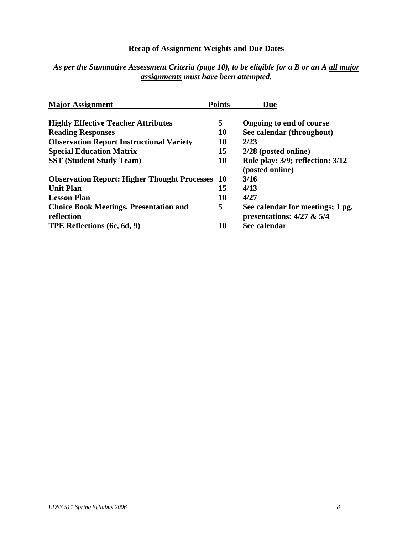# **Recap of Assignment Weights and Due Dates**

# *As per the Summative Assessment Criteria (page 10), to be eligible for a B or an A all major assignments must have been attempted.*

| <b>Major Assignment</b>                                     | <b>Points</b> | Due                                                              |
|-------------------------------------------------------------|---------------|------------------------------------------------------------------|
| <b>Highly Effective Teacher Attributes</b>                  | 5             | Ongoing to end of course                                         |
| <b>Reading Responses</b>                                    | 10            | See calendar (throughout)                                        |
| <b>Observation Report Instructional Variety</b>             | 10            | 2/23                                                             |
| <b>Special Education Matrix</b>                             | 15            | $2/28$ (posted online)                                           |
| <b>SST (Student Study Team)</b>                             | 10            | Role play: 3/9; reflection: 3/12<br>(posted online)              |
| <b>Observation Report: Higher Thought Processes</b>         | - 10          | 3/16                                                             |
| <b>Unit Plan</b>                                            | 15            | 4/13                                                             |
| <b>Lesson Plan</b>                                          | 10            | 4/27                                                             |
| <b>Choice Book Meetings, Presentation and</b><br>reflection | 5             | See calendar for meetings; 1 pg.<br>presentations: $4/27 \& 5/4$ |
| TPE Reflections (6c, 6d, 9)                                 | 10            | See calendar                                                     |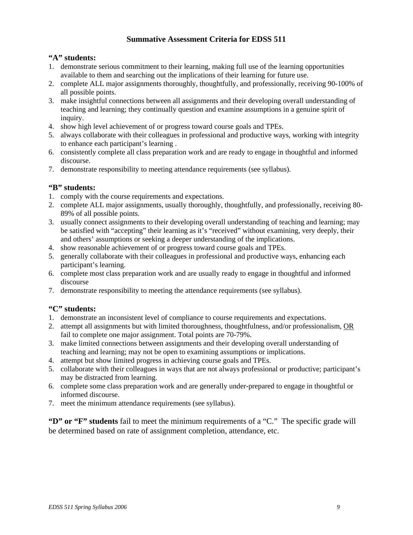# **Summative Assessment Criteria for EDSS 511**

### **"A" students:**

- 1. demonstrate serious commitment to their learning, making full use of the learning opportunities available to them and searching out the implications of their learning for future use.
- 2. complete ALL major assignments thoroughly, thoughtfully, and professionally, receiving 90-100% of all possible points.
- 3. make insightful connections between all assignments and their developing overall understanding of teaching and learning; they continually question and examine assumptions in a genuine spirit of inquiry.
- 4. show high level achievement of or progress toward course goals and TPEs.
- 5. always collaborate with their colleagues in professional and productive ways, working with integrity to enhance each participant's learning .
- 6. consistently complete all class preparation work and are ready to engage in thoughtful and informed discourse.
- 7. demonstrate responsibility to meeting attendance requirements (see syllabus).

### **"B" students:**

- 1. comply with the course requirements and expectations.
- 2. complete ALL major assignments, usually thoroughly, thoughtfully, and professionally, receiving 80- 89% of all possible points.
- 3. usually connect assignments to their developing overall understanding of teaching and learning; may be satisfied with "accepting" their learning as it's "received" without examining, very deeply, their and others' assumptions or seeking a deeper understanding of the implications.
- 4. show reasonable achievement of or progress toward course goals and TPEs.
- 5. generally collaborate with their colleagues in professional and productive ways, enhancing each participant's learning.
- 6. complete most class preparation work and are usually ready to engage in thoughtful and informed discourse
- 7. demonstrate responsibility to meeting the attendance requirements (see syllabus).

### **"C" students:**

- 1. demonstrate an inconsistent level of compliance to course requirements and expectations.
- 2. attempt all assignments but with limited thoroughness, thoughtfulness, and/or professionalism, OR fail to complete one major assignment. Total points are 70-79%.
- 3. make limited connections between assignments and their developing overall understanding of teaching and learning; may not be open to examining assumptions or implications.
- 4. attempt but show limited progress in achieving course goals and TPEs.
- 5. collaborate with their colleagues in ways that are not always professional or productive; participant's may be distracted from learning.
- 6. complete some class preparation work and are generally under-prepared to engage in thoughtful or informed discourse.
- 7. meet the minimum attendance requirements (see syllabus).

**"D" or "F" students** fail to meet the minimum requirements of a "C." The specific grade will be determined based on rate of assignment completion, attendance, etc.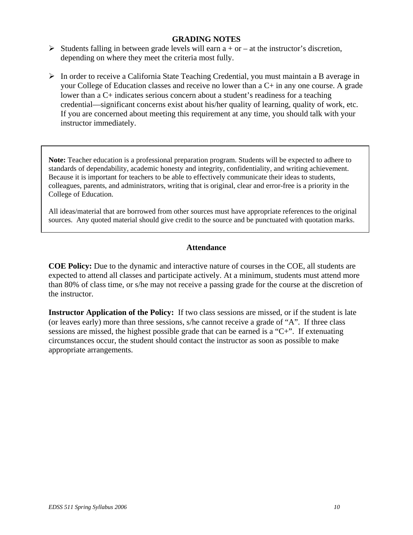### **GRADING NOTES**

- $\triangleright$  Students falling in between grade levels will earn a + or at the instructor's discretion, depending on where they meet the criteria most fully.
- $\triangleright$  In order to receive a California State Teaching Credential, you must maintain a B average in your College of Education classes and receive no lower than a C+ in any one course. A grade lower than a C+ indicates serious concern about a student's readiness for a teaching credential—significant concerns exist about his/her quality of learning, quality of work, etc. If you are concerned about meeting this requirement at any time, you should talk with your instructor immediately.

**Note:** Teacher education is a professional preparation program. Students will be expected to adhere to standards of dependability, academic honesty and integrity, confidentiality, and writing achievement. Because it is important for teachers to be able to effectively communicate their ideas to students, colleagues, parents, and administrators, writing that is original, clear and error-free is a priority in the College of Education.

All ideas/material that are borrowed from other sources must have appropriate references to the original sources. Any quoted material should give credit to the source and be punctuated with quotation marks.

### **Attendance**

**COE Policy:** Due to the dynamic and interactive nature of courses in the COE, all students are expected to attend all classes and participate actively. At a minimum, students must attend more than 80% of class time, or s/he may not receive a passing grade for the course at the discretion of the instructor.

**Instructor Application of the Policy:** If two class sessions are missed, or if the student is late (or leaves early) more than three sessions, s/he cannot receive a grade of "A". If three class sessions are missed, the highest possible grade that can be earned is a "C+". If extenuating circumstances occur, the student should contact the instructor as soon as possible to make appropriate arrangements.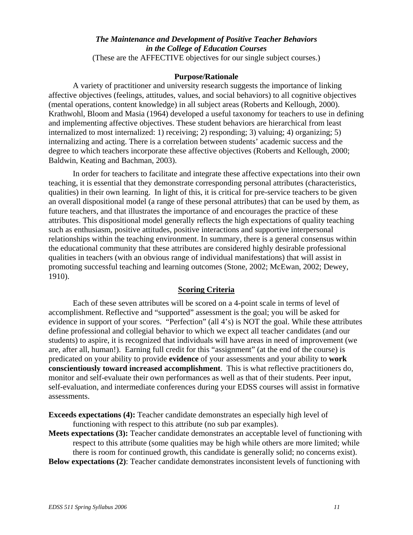# *The Maintenance and Development of Positive Teacher Behaviors in the College of Education Courses*

(These are the AFFECTIVE objectives for our single subject courses.)

### **Purpose/Rationale**

A variety of practitioner and university research suggests the importance of linking affective objectives (feelings, attitudes, values, and social behaviors) to all cognitive objectives (mental operations, content knowledge) in all subject areas (Roberts and Kellough, 2000). Krathwohl, Bloom and Masia (1964) developed a useful taxonomy for teachers to use in defining and implementing affective objectives. These student behaviors are hierarchical from least internalized to most internalized: 1) receiving; 2) responding; 3) valuing; 4) organizing; 5) internalizing and acting. There is a correlation between students' academic success and the degree to which teachers incorporate these affective objectives (Roberts and Kellough, 2000; Baldwin, Keating and Bachman, 2003).

In order for teachers to facilitate and integrate these affective expectations into their own teaching, it is essential that they demonstrate corresponding personal attributes (characteristics, qualities) in their own learning. In light of this, it is critical for pre-service teachers to be given an overall dispositional model (a range of these personal attributes) that can be used by them, as future teachers, and that illustrates the importance of and encourages the practice of these attributes. This dispositional model generally reflects the high expectations of quality teaching such as enthusiasm, positive attitudes, positive interactions and supportive interpersonal relationships within the teaching environment. In summary, there is a general consensus within the educational community that these attributes are considered highly desirable professional qualities in teachers (with an obvious range of individual manifestations) that will assist in promoting successful teaching and learning outcomes (Stone, 2002; McEwan, 2002; Dewey, 1910).

### **Scoring Criteria**

Each of these seven attributes will be scored on a 4-point scale in terms of level of accomplishment. Reflective and "supported" assessment is the goal; you will be asked for evidence in support of your scores. "Perfection" (all 4's) is NOT the goal. While these attributes define professional and collegial behavior to which we expect all teacher candidates (and our students) to aspire, it is recognized that individuals will have areas in need of improvement (we are, after all, human!). Earning full credit for this "assignment" (at the end of the course) is predicated on your ability to provide **evidence** of your assessments and your ability to **work conscientiously toward increased accomplishment**. This is what reflective practitioners do, monitor and self-evaluate their own performances as well as that of their students. Peer input, self-evaluation, and intermediate conferences during your EDSS courses will assist in formative assessments.

**Exceeds expectations (4):** Teacher candidate demonstrates an especially high level of functioning with respect to this attribute (no sub par examples).

- **Meets expectations (3):** Teacher candidate demonstrates an acceptable level of functioning with respect to this attribute (some qualities may be high while others are more limited; while there is room for continued growth, this candidate is generally solid; no concerns exist).
- **Below expectations (2)**: Teacher candidate demonstrates inconsistent levels of functioning with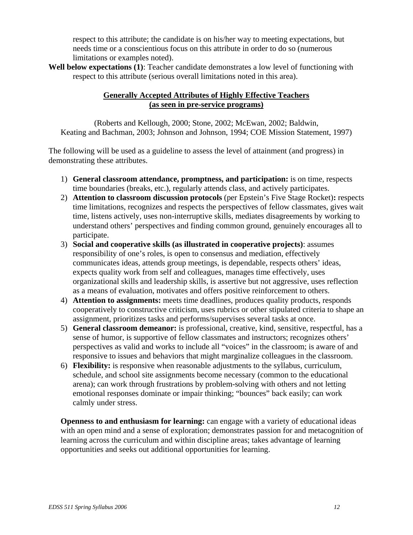respect to this attribute; the candidate is on his/her way to meeting expectations, but needs time or a conscientious focus on this attribute in order to do so (numerous limitations or examples noted).

**Well below expectations (1)**: Teacher candidate demonstrates a low level of functioning with respect to this attribute (serious overall limitations noted in this area).

# **Generally Accepted Attributes of Highly Effective Teachers (as seen in pre-service programs)**

(Roberts and Kellough, 2000; Stone, 2002; McEwan, 2002; Baldwin, Keating and Bachman, 2003; Johnson and Johnson, 1994; COE Mission Statement, 1997)

The following will be used as a guideline to assess the level of attainment (and progress) in demonstrating these attributes.

- 1) **General classroom attendance, promptness, and participation:** is on time, respects time boundaries (breaks, etc.), regularly attends class, and actively participates.
- 2) **Attention to classroom discussion protocols** (per Epstein's Five Stage Rocket)**:** respects time limitations, recognizes and respects the perspectives of fellow classmates, gives wait time, listens actively, uses non-interruptive skills, mediates disagreements by working to understand others' perspectives and finding common ground, genuinely encourages all to participate.
- 3) **Social and cooperative skills (as illustrated in cooperative projects)**: assumes responsibility of one's roles, is open to consensus and mediation, effectively communicates ideas, attends group meetings, is dependable, respects others' ideas, expects quality work from self and colleagues, manages time effectively, uses organizational skills and leadership skills, is assertive but not aggressive, uses reflection as a means of evaluation, motivates and offers positive reinforcement to others.
- 4) **Attention to assignments:** meets time deadlines, produces quality products, responds cooperatively to constructive criticism, uses rubrics or other stipulated criteria to shape an assignment, prioritizes tasks and performs/supervises several tasks at once.
- 5) **General classroom demeanor:** is professional, creative, kind, sensitive, respectful, has a sense of humor, is supportive of fellow classmates and instructors; recognizes others' perspectives as valid and works to include all "voices" in the classroom; is aware of and responsive to issues and behaviors that might marginalize colleagues in the classroom.
- 6) **Flexibility:** is responsive when reasonable adjustments to the syllabus, curriculum, schedule, and school site assignments become necessary (common to the educational arena); can work through frustrations by problem-solving with others and not letting emotional responses dominate or impair thinking; "bounces" back easily; can work calmly under stress.

**Openness to and enthusiasm for learning:** can engage with a variety of educational ideas with an open mind and a sense of exploration; demonstrates passion for and metacognition of learning across the curriculum and within discipline areas; takes advantage of learning opportunities and seeks out additional opportunities for learning.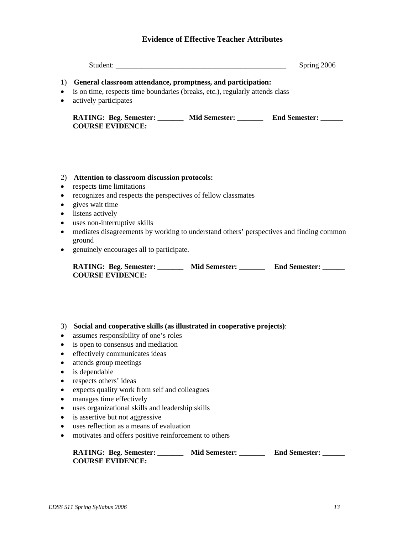# **Evidence of Effective Teacher Attributes**

|                                                                                               |                                                                                                                                                                                                                                                                                                                                                                                                                                                                               | Spring 2006 |
|-----------------------------------------------------------------------------------------------|-------------------------------------------------------------------------------------------------------------------------------------------------------------------------------------------------------------------------------------------------------------------------------------------------------------------------------------------------------------------------------------------------------------------------------------------------------------------------------|-------------|
| 1)<br>$\bullet$<br>$\bullet$                                                                  | General classroom attendance, promptness, and participation:<br>is on time, respects time boundaries (breaks, etc.), regularly attends class<br>actively participates                                                                                                                                                                                                                                                                                                         |             |
|                                                                                               | RATING: Beg. Semester: _________ Mid Semester: _________ End Semester: _______<br><b>COURSE EVIDENCE:</b>                                                                                                                                                                                                                                                                                                                                                                     |             |
| 2)<br>$\bullet$<br>$\bullet$<br>$\bullet$<br>$\bullet$<br>$\bullet$<br>$\bullet$<br>$\bullet$ | Attention to classroom discussion protocols:<br>respects time limitations<br>recognizes and respects the perspectives of fellow classmates<br>gives wait time<br>listens actively<br>uses non-interruptive skills<br>mediates disagreements by working to understand others' perspectives and finding common<br>ground<br>genuinely encourages all to participate.<br>RATING: Beg. Semester: _________ Mid Semester: ________ End Semester: ______<br><b>COURSE EVIDENCE:</b> |             |

- 3) **Social and cooperative skills (as illustrated in cooperative projects)**:
- assumes responsibility of one's roles
- is open to consensus and mediation
- effectively communicates ideas
- attends group meetings
- is dependable
- respects others' ideas
- expects quality work from self and colleagues
- manages time effectively
- uses organizational skills and leadership skills
- is assertive but not aggressive
- uses reflection as a means of evaluation
- motivates and offers positive reinforcement to others

| <b>RATING: Beg. Semester:</b> | <b>Mid Semester:</b> | <b>End Semester:</b> |
|-------------------------------|----------------------|----------------------|
| <b>COURSE EVIDENCE:</b>       |                      |                      |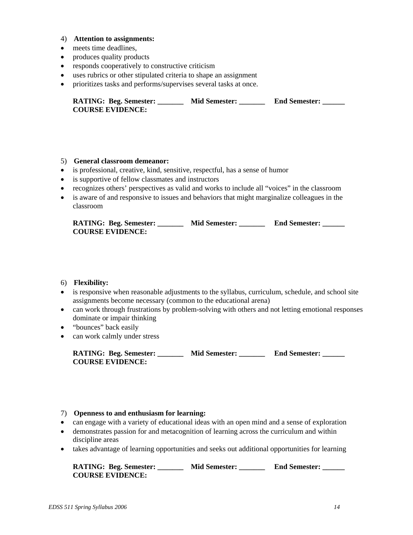#### 4) **Attention to assignments:**

- meets time deadlines,
- produces quality products
- responds cooperatively to constructive criticism
- uses rubrics or other stipulated criteria to shape an assignment
- prioritizes tasks and performs/supervises several tasks at once.

| <b>RATING: Beg. Semester:</b> | <b>Mid Semester:</b> | <b>End Semester:</b> |
|-------------------------------|----------------------|----------------------|
| <b>COURSE EVIDENCE:</b>       |                      |                      |

### 5) **General classroom demeanor:**

- is professional, creative, kind, sensitive, respectful, has a sense of humor
- is supportive of fellow classmates and instructors
- recognizes others' perspectives as valid and works to include all "voices" in the classroom
- is aware of and responsive to issues and behaviors that might marginalize colleagues in the classroom

| <b>RATING: Beg. Semester:</b> | <b>Mid Semester:</b> | <b>End Semester:</b> |
|-------------------------------|----------------------|----------------------|
| <b>COURSE EVIDENCE:</b>       |                      |                      |

### 6) **Flexibility:**

- is responsive when reasonable adjustments to the syllabus, curriculum, schedule, and school site assignments become necessary (common to the educational arena)
- can work through frustrations by problem-solving with others and not letting emotional responses dominate or impair thinking
- "bounces" back easily
- can work calmly under stress

| <b>RATING: Beg. Semester:</b> | <b>Mid Semester:</b> | <b>End Semester:</b> |
|-------------------------------|----------------------|----------------------|
| <b>COURSE EVIDENCE:</b>       |                      |                      |

#### 7) **Openness to and enthusiasm for learning:**

- can engage with a variety of educational ideas with an open mind and a sense of exploration
- demonstrates passion for and metacognition of learning across the curriculum and within discipline areas
- takes advantage of learning opportunities and seeks out additional opportunities for learning

| <b>RATING: Beg. Semester:</b> | <b>Mid Semester:</b> | <b>End Semester:</b> |
|-------------------------------|----------------------|----------------------|
| <b>COURSE EVIDENCE:</b>       |                      |                      |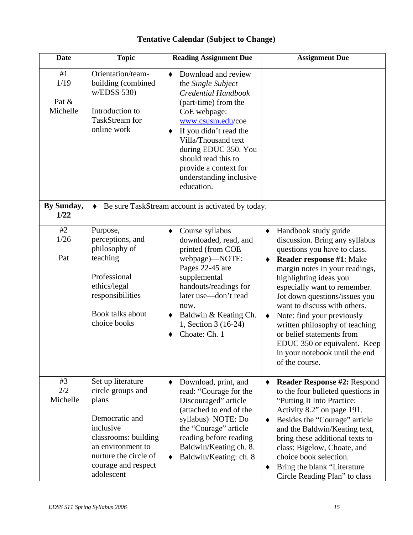| <b>Date</b>                     | <b>Topic</b>                                                                                                                                                                              | <b>Reading Assignment Due</b>                                                                                                                                                                                                                                                                                     | <b>Assignment Due</b>                                                                                                                                                                                                                                                                                                                                                                                                                                                        |
|---------------------------------|-------------------------------------------------------------------------------------------------------------------------------------------------------------------------------------------|-------------------------------------------------------------------------------------------------------------------------------------------------------------------------------------------------------------------------------------------------------------------------------------------------------------------|------------------------------------------------------------------------------------------------------------------------------------------------------------------------------------------------------------------------------------------------------------------------------------------------------------------------------------------------------------------------------------------------------------------------------------------------------------------------------|
| #1<br>1/19<br>Pat &<br>Michelle | Orientation/team-<br>building (combined<br>w/EDSS 530<br>Introduction to<br>TaskStream for<br>online work                                                                                 | Download and review<br>٠<br>the Single Subject<br>Credential Handbook<br>(part-time) from the<br>CoE webpage:<br>www.csusm.edu/coe<br>If you didn't read the<br>$\bullet$<br>Villa/Thousand text<br>during EDUC 350. You<br>should read this to<br>provide a context for<br>understanding inclusive<br>education. |                                                                                                                                                                                                                                                                                                                                                                                                                                                                              |
| By Sunday,<br>1/22              | $\bullet$                                                                                                                                                                                 | Be sure TaskStream account is activated by today.                                                                                                                                                                                                                                                                 |                                                                                                                                                                                                                                                                                                                                                                                                                                                                              |
| #2<br>1/26<br>Pat               | Purpose,<br>perceptions, and<br>philosophy of<br>teaching<br>Professional<br>ethics/legal<br>responsibilities<br>Book talks about<br>choice books                                         | Course syllabus<br>٠<br>downloaded, read, and<br>printed (from COE<br>webpage)-NOTE:<br>Pages 22-45 are<br>supplemental<br>handouts/readings for<br>later use—don't read<br>now.<br>Baldwin & Keating Ch.<br>٠<br>1, Section 3 (16-24)<br>Choate: Ch. 1<br>٠                                                      | Handbook study guide<br>٠<br>discussion. Bring any syllabus<br>questions you have to class.<br><b>Reader response #1: Make</b><br>margin notes in your readings,<br>highlighting ideas you<br>especially want to remember.<br>Jot down questions/issues you<br>want to discuss with others.<br>Note: find your previously<br>written philosophy of teaching<br>or belief statements from<br>EDUC 350 or equivalent. Keep<br>in your notebook until the end<br>of the course. |
| #3<br>2/2<br>Michelle           | Set up literature<br>circle groups and<br>plans<br>Democratic and<br>inclusive<br>classrooms: building<br>an environment to<br>nurture the circle of<br>courage and respect<br>adolescent | Download, print, and<br>٠<br>read: "Courage for the<br>Discouraged" article<br>(attached to end of the<br>syllabus) NOTE: Do<br>the "Courage" article<br>reading before reading<br>Baldwin/Keating ch. 8.<br>Baldwin/Keating: ch. 8<br>٠                                                                          | <b>Reader Response #2: Respond</b><br>to the four bulleted questions in<br>"Putting It Into Practice:<br>Activity 8.2" on page 191.<br>Besides the "Courage" article<br>and the Baldwin/Keating text,<br>bring these additional texts to<br>class: Bigelow, Choate, and<br>choice book selection.<br>Bring the blank "Literature<br>Circle Reading Plan" to class                                                                                                            |

# **Tentative Calendar (Subject to Change)**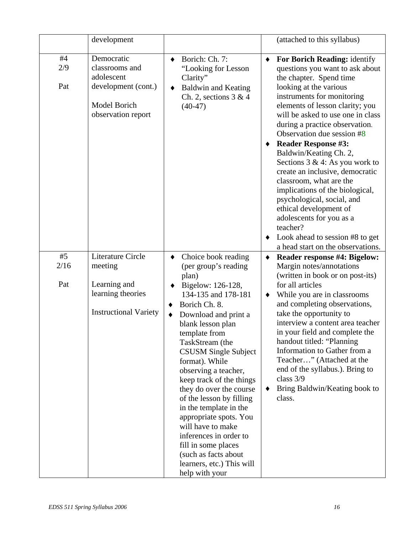|                   | development                                                                                             |                                                                                                                                                                                                                                                                                                                                                                                                                                                                                                                                                                                | (attached to this syllabus)                                                                                                                                                                                                                                                                                                                                                                                                                                                                                                                                                                                                                                                |
|-------------------|---------------------------------------------------------------------------------------------------------|--------------------------------------------------------------------------------------------------------------------------------------------------------------------------------------------------------------------------------------------------------------------------------------------------------------------------------------------------------------------------------------------------------------------------------------------------------------------------------------------------------------------------------------------------------------------------------|----------------------------------------------------------------------------------------------------------------------------------------------------------------------------------------------------------------------------------------------------------------------------------------------------------------------------------------------------------------------------------------------------------------------------------------------------------------------------------------------------------------------------------------------------------------------------------------------------------------------------------------------------------------------------|
| #4<br>2/9<br>Pat  | Democratic<br>classrooms and<br>adolescent<br>development (cont.)<br>Model Borich<br>observation report | Borich: Ch. 7:<br>٠<br>"Looking for Lesson<br>Clarity"<br><b>Baldwin and Keating</b><br>Ch. 2, sections $3 & 4$<br>$(40-47)$                                                                                                                                                                                                                                                                                                                                                                                                                                                   | For Borich Reading: identify<br>٠<br>questions you want to ask about<br>the chapter. Spend time<br>looking at the various<br>instruments for monitoring<br>elements of lesson clarity; you<br>will be asked to use one in class<br>during a practice observation.<br>Observation due session #8<br><b>Reader Response #3:</b><br>٠<br>Baldwin/Keating Ch. 2,<br>Sections $3 & 4$ : As you work to<br>create an inclusive, democratic<br>classroom, what are the<br>implications of the biological,<br>psychological, social, and<br>ethical development of<br>adolescents for you as a<br>teacher?<br>Look ahead to session #8 to get<br>a head start on the observations. |
| #5<br>2/16<br>Pat | Literature Circle<br>meeting<br>Learning and<br>learning theories<br><b>Instructional Variety</b>       | Choice book reading<br>٠<br>(per group's reading<br>plan)<br>Bigelow: 126-128,<br>134-135 and 178-181<br>Borich Ch. 8.<br>٠<br>Download and print a<br>٠<br>blank lesson plan<br>template from<br>TaskStream (the<br><b>CSUSM Single Subject</b><br>format). While<br>observing a teacher,<br>keep track of the things<br>they do over the course<br>of the lesson by filling<br>in the template in the<br>appropriate spots. You<br>will have to make<br>inferences in order to<br>fill in some places<br>(such as facts about<br>learners, etc.) This will<br>help with your | <b>Reader response #4: Bigelow:</b><br>$\bullet$<br>Margin notes/annotations<br>(written in book or on post-its)<br>for all articles<br>While you are in classrooms<br>٠<br>and completing observations,<br>take the opportunity to<br>interview a content area teacher<br>in your field and complete the<br>handout titled: "Planning<br>Information to Gather from a<br>Teacher" (Attached at the<br>end of the syllabus.). Bring to<br>class $3/9$<br>Bring Baldwin/Keating book to<br>٠<br>class.                                                                                                                                                                      |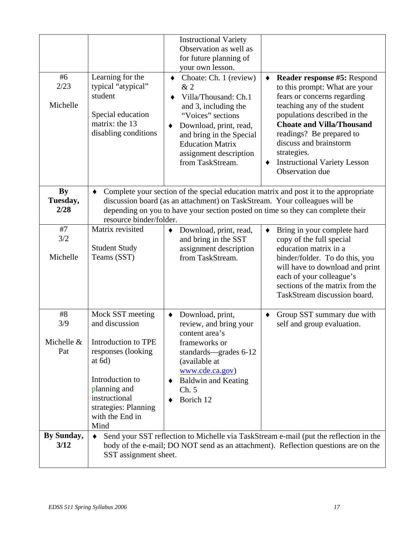| #6<br>2/23<br>Michelle         | Learning for the<br>typical "atypical"<br>student<br>Special education<br>matrix: the 13<br>disabling conditions                                                                                   | <b>Instructional Variety</b><br>Observation as well as<br>for future planning of<br>your own lesson.<br>Choate: Ch. 1 (review)<br>$\bullet$<br>&2<br>Villa/Thousand: Ch.1<br>٠<br>and 3, including the<br>"Voices" sections<br>Download, print, read,<br>٠<br>and bring in the Special<br><b>Education Matrix</b><br>assignment description<br>from TaskStream. | Reader response #5: Respond<br>٠<br>to this prompt: What are your<br>fears or concerns regarding<br>teaching any of the student<br>populations described in the<br><b>Choate and Villa/Thousand</b><br>readings? Be prepared to<br>discuss and brainstorm<br>strategies.<br><b>Instructional Variety Lesson</b><br>Observation due |
|--------------------------------|----------------------------------------------------------------------------------------------------------------------------------------------------------------------------------------------------|-----------------------------------------------------------------------------------------------------------------------------------------------------------------------------------------------------------------------------------------------------------------------------------------------------------------------------------------------------------------|------------------------------------------------------------------------------------------------------------------------------------------------------------------------------------------------------------------------------------------------------------------------------------------------------------------------------------|
| <b>By</b><br>Tuesday,<br>2/28  | $\bullet$<br>resource binder/folder.                                                                                                                                                               | discussion board (as an attachment) on TaskStream. Your colleagues will be                                                                                                                                                                                                                                                                                      | Complete your section of the special education matrix and post it to the appropriate<br>depending on you to have your section posted on time so they can complete their                                                                                                                                                            |
| #7<br>3/2<br>Michelle          | Matrix revisited<br><b>Student Study</b><br>Teams (SST)                                                                                                                                            | Download, print, read,<br>٠<br>and bring in the SST<br>assignment description<br>from TaskStream.                                                                                                                                                                                                                                                               | Bring in your complete hard<br>copy of the full special<br>education matrix in a<br>binder/folder. To do this, you<br>will have to download and print<br>each of your colleague's<br>sections of the matrix from the<br>TaskStream discussion board.                                                                               |
| #8<br>3/9<br>Michelle &<br>Pat | Mock SST meeting<br>and discussion<br>Introduction to TPE<br>responses (looking<br>at $6d)$<br>Introduction to<br>planning and<br>instructional<br>strategies: Planning<br>with the End in<br>Mind | Download, print,<br>٠<br>review, and bring your<br>content area's<br>frameworks or<br>standards-grades 6-12<br>(available at<br>www.cde.ca.gov)<br><b>Baldwin and Keating</b><br>٠<br>Ch. 5<br>Borich 12                                                                                                                                                        | Group SST summary due with<br>٠<br>self and group evaluation.                                                                                                                                                                                                                                                                      |
| By Sunday,<br>3/12             | ٠<br>SST assignment sheet.                                                                                                                                                                         |                                                                                                                                                                                                                                                                                                                                                                 | Send your SST reflection to Michelle via TaskStream e-mail (put the reflection in the<br>body of the e-mail; DO NOT send as an attachment). Reflection questions are on the                                                                                                                                                        |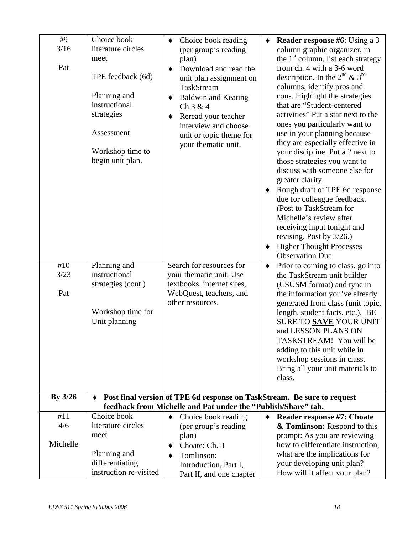| #9<br>3/16<br>Pat      | Choice book<br>literature circles<br>meet<br>TPE feedback (6d)<br>Planning and<br>instructional<br>strategies<br>Assessment<br>Workshop time to<br>begin unit plan. | Choice book reading<br>$\blacklozenge$<br>(per group's reading<br>plan)<br>Download and read the<br>٠<br>unit plan assignment on<br>TaskStream<br><b>Baldwin and Keating</b><br>٠<br>Ch3&4<br>Reread your teacher<br>٠<br>interview and choose<br>unit or topic theme for<br>your thematic unit. | $\blacklozenge$<br>٠<br>٠ | <b>Reader response #6:</b> Using a 3<br>column graphic organizer, in<br>the 1 <sup>st</sup> column, list each strategy<br>from ch. 4 with a 3-6 word<br>description. In the $2^{nd}$ & $3^{rd}$<br>columns, identify pros and<br>cons. Highlight the strategies<br>that are "Student-centered<br>activities" Put a star next to the<br>ones you particularly want to<br>use in your planning because<br>they are especially effective in<br>your discipline. Put a ? next to<br>those strategies you want to<br>discuss with someone else for<br>greater clarity.<br>Rough draft of TPE 6d response<br>due for colleague feedback.<br>(Post to TaskStream for<br>Michelle's review after<br>receiving input tonight and<br>revising. Post by 3/26.)<br><b>Higher Thought Processes</b><br><b>Observation Due</b> |
|------------------------|---------------------------------------------------------------------------------------------------------------------------------------------------------------------|--------------------------------------------------------------------------------------------------------------------------------------------------------------------------------------------------------------------------------------------------------------------------------------------------|---------------------------|------------------------------------------------------------------------------------------------------------------------------------------------------------------------------------------------------------------------------------------------------------------------------------------------------------------------------------------------------------------------------------------------------------------------------------------------------------------------------------------------------------------------------------------------------------------------------------------------------------------------------------------------------------------------------------------------------------------------------------------------------------------------------------------------------------------|
| #10<br>3/23<br>Pat     | Planning and<br>instructional<br>strategies (cont.)<br>Workshop time for<br>Unit planning                                                                           | Search for resources for<br>your thematic unit. Use<br>textbooks, internet sites,<br>WebQuest, teachers, and<br>other resources.                                                                                                                                                                 | ٠                         | Prior to coming to class, go into<br>the TaskStream unit builder<br>(CSUSM format) and type in<br>the information you've already<br>generated from class (unit topic,<br>length, student facts, etc.). BE<br>SURE TO <b>SAVE</b> YOUR UNIT<br>and LESSON PLANS ON<br>TASKSTREAM! You will be<br>adding to this unit while in<br>workshop sessions in class.<br>Bring all your unit materials to<br>class.                                                                                                                                                                                                                                                                                                                                                                                                        |
| By 3/26                | Post final version of TPE 6d response on TaskStream. Be sure to request<br>feedback from Michelle and Pat under the "Publish/Share" tab.                            |                                                                                                                                                                                                                                                                                                  |                           |                                                                                                                                                                                                                                                                                                                                                                                                                                                                                                                                                                                                                                                                                                                                                                                                                  |
| #11<br>4/6<br>Michelle | Choice book<br>literature circles<br>meet<br>Planning and<br>differentiating<br>instruction re-visited                                                              | Choice book reading<br>٠<br>(per group's reading<br>plan)<br>Choate: Ch. 3<br>٠<br>Tomlinson:<br>Introduction, Part I,<br>Part II, and one chapter                                                                                                                                               | $\blacklozenge$           | <b>Reader response #7: Choate</b><br>& Tomlinson: Respond to this<br>prompt: As you are reviewing<br>how to differentiate instruction,<br>what are the implications for<br>your developing unit plan?<br>How will it affect your plan?                                                                                                                                                                                                                                                                                                                                                                                                                                                                                                                                                                           |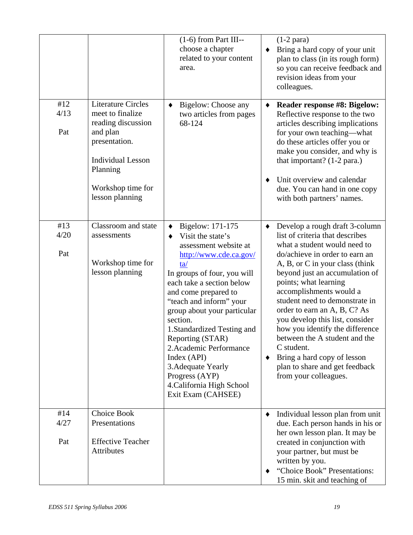|                    |                                                                                                                                                                                  | $(1-6)$ from Part III--<br>choose a chapter<br>related to your content<br>area.                                                                                                                                                                                                                                                                                                                                                                        | $(1-2$ para)<br>Bring a hard copy of your unit<br>٠<br>plan to class (in its rough form)<br>so you can receive feedback and<br>revision ideas from your<br>colleagues.                                                                                                                                                                                                                                                                                                                                                                                                |
|--------------------|----------------------------------------------------------------------------------------------------------------------------------------------------------------------------------|--------------------------------------------------------------------------------------------------------------------------------------------------------------------------------------------------------------------------------------------------------------------------------------------------------------------------------------------------------------------------------------------------------------------------------------------------------|-----------------------------------------------------------------------------------------------------------------------------------------------------------------------------------------------------------------------------------------------------------------------------------------------------------------------------------------------------------------------------------------------------------------------------------------------------------------------------------------------------------------------------------------------------------------------|
| #12<br>4/13<br>Pat | <b>Literature Circles</b><br>meet to finalize<br>reading discussion<br>and plan<br>presentation.<br><b>Individual Lesson</b><br>Planning<br>Workshop time for<br>lesson planning | Bigelow: Choose any<br>$\blacklozenge$<br>two articles from pages<br>68-124                                                                                                                                                                                                                                                                                                                                                                            | <b>Reader response #8: Bigelow:</b><br>٠<br>Reflective response to the two<br>articles describing implications<br>for your own teaching—what<br>do these articles offer you or<br>make you consider, and why is<br>that important? (1-2 para.)<br>Unit overview and calendar<br>٠<br>due. You can hand in one copy<br>with both partners' names.                                                                                                                                                                                                                      |
| #13<br>4/20<br>Pat | Classroom and state<br>assessments<br>Workshop time for<br>lesson planning                                                                                                       | Bigelow: 171-175<br>٠<br>Visit the state's<br>assessment website at<br>http://www.cde.ca.gov/<br>ta/<br>In groups of four, you will<br>each take a section below<br>and come prepared to<br>"teach and inform" your<br>group about your particular<br>section.<br>1. Standardized Testing and<br>Reporting (STAR)<br>2. Academic Performance<br>Index (API)<br>3. Adequate Yearly<br>Progress (AYP)<br>4. California High School<br>Exit Exam (CAHSEE) | Develop a rough draft 3-column<br>$\blacklozenge$<br>list of criteria that describes<br>what a student would need to<br>do/achieve in order to earn an<br>A, B, or C in your class (think<br>beyond just an accumulation of<br>points; what learning<br>accomplishments would a<br>student need to demonstrate in<br>order to earn an A, B, C? As<br>you develop this list, consider<br>how you identify the difference<br>between the A student and the<br>C student.<br>Bring a hard copy of lesson<br>٠<br>plan to share and get feedback<br>from your colleagues. |
| #14<br>4/27<br>Pat | <b>Choice Book</b><br>Presentations<br><b>Effective Teacher</b><br>Attributes                                                                                                    |                                                                                                                                                                                                                                                                                                                                                                                                                                                        | Individual lesson plan from unit<br>٠<br>due. Each person hands in his or<br>her own lesson plan. It may be<br>created in conjunction with<br>your partner, but must be<br>written by you.<br>"Choice Book" Presentations:<br>٠<br>15 min. skit and teaching of                                                                                                                                                                                                                                                                                                       |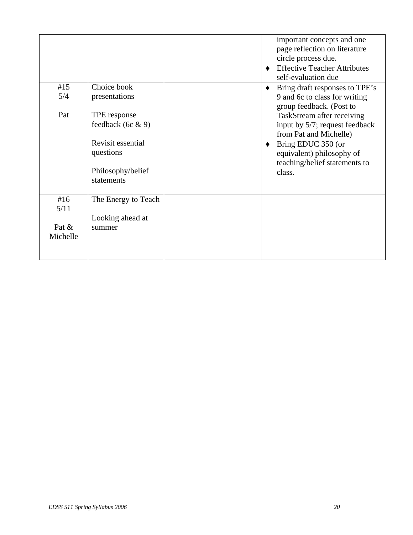| #15<br>5/4<br>Pat | Choice book<br>presentations<br>TPE response<br>feedback (6c $\&$ 9)<br>Revisit essential<br>questions<br>Philosophy/belief<br>statements |  | important concepts and one<br>page reflection on literature<br>circle process due.<br><b>Effective Teacher Attributes</b><br>self-evaluation due<br>Bring draft responses to TPE's<br>9 and 6c to class for writing<br>group feedback. (Post to<br>TaskStream after receiving<br>input by 5/7; request feedback<br>from Pat and Michelle)<br>Bring EDUC 350 (or<br>equivalent) philosophy of<br>teaching/belief statements to<br>class. |
|-------------------|-------------------------------------------------------------------------------------------------------------------------------------------|--|-----------------------------------------------------------------------------------------------------------------------------------------------------------------------------------------------------------------------------------------------------------------------------------------------------------------------------------------------------------------------------------------------------------------------------------------|
| #16<br>5/11       | The Energy to Teach<br>Looking ahead at                                                                                                   |  |                                                                                                                                                                                                                                                                                                                                                                                                                                         |
| Pat &<br>Michelle | summer                                                                                                                                    |  |                                                                                                                                                                                                                                                                                                                                                                                                                                         |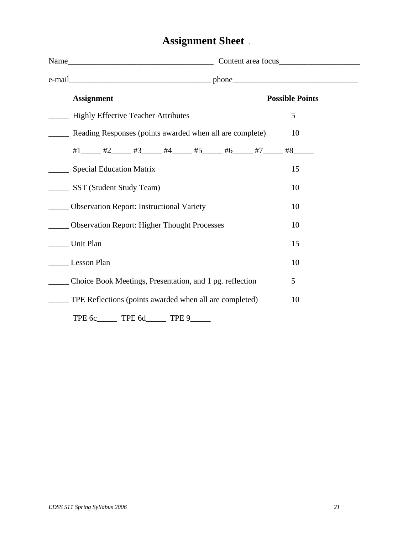# **Assignment Sheet** .

| Name                                                        | Content area focus     |
|-------------------------------------------------------------|------------------------|
|                                                             |                        |
| <b>Assignment</b>                                           | <b>Possible Points</b> |
| <b>Highly Effective Teacher Attributes</b>                  | 5                      |
| Reading Responses (points awarded when all are complete)    | 10                     |
| $#1$ $#2$ $#3$ $#4$ $#5$ $#6$ $#7$ $#8$ $#8$                |                        |
| ____ Special Education Matrix                               | 15                     |
| SST (Student Study Team)                                    | 10                     |
| ____ Observation Report: Instructional Variety              | 10                     |
| ____ Observation Report: Higher Thought Processes           | 10                     |
| Unit Plan                                                   | 15                     |
| Lesson Plan                                                 | 10                     |
| __ Choice Book Meetings, Presentation, and 1 pg. reflection | 5                      |
| TPE Reflections (points awarded when all are completed)     | 10                     |
|                                                             |                        |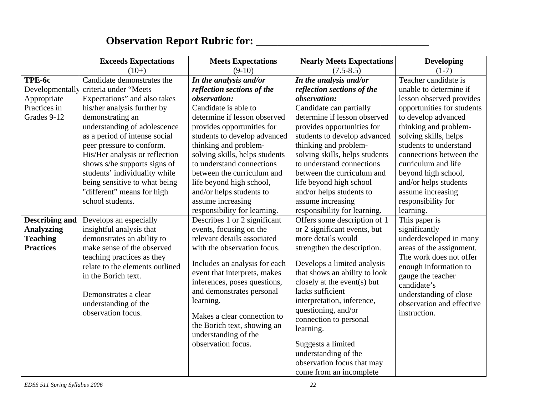|                       | <b>Exceeds Expectations</b>                                                          | <b>Meets Expectations</b>                                                                                                            | <b>Nearly Meets Expectations</b>                                                                                                            | <b>Developing</b>                                                                  |
|-----------------------|--------------------------------------------------------------------------------------|--------------------------------------------------------------------------------------------------------------------------------------|---------------------------------------------------------------------------------------------------------------------------------------------|------------------------------------------------------------------------------------|
|                       | $(10+)$                                                                              | $(9-10)$                                                                                                                             | $(7.5 - 8.5)$                                                                                                                               | $(1-7)$                                                                            |
| TPE-6c                | Candidate demonstrates the                                                           | In the analysis and/or                                                                                                               | In the analysis and/or                                                                                                                      | Teacher candidate is                                                               |
| Developmentally       | criteria under "Meets                                                                | reflection sections of the                                                                                                           | reflection sections of the                                                                                                                  | unable to determine if                                                             |
| Appropriate           | Expectations" and also takes                                                         | observation:                                                                                                                         | <i>observation:</i>                                                                                                                         | lesson observed provides                                                           |
| Practices in          | his/her analysis further by                                                          | Candidate is able to                                                                                                                 | Candidate can partially                                                                                                                     | opportunities for students                                                         |
| Grades 9-12           | demonstrating an                                                                     | determine if lesson observed                                                                                                         | determine if lesson observed                                                                                                                | to develop advanced                                                                |
|                       | understanding of adolescence                                                         | provides opportunities for                                                                                                           | provides opportunities for                                                                                                                  | thinking and problem-                                                              |
|                       | as a period of intense social                                                        | students to develop advanced                                                                                                         | students to develop advanced                                                                                                                | solving skills, helps                                                              |
|                       | peer pressure to conform.                                                            | thinking and problem-                                                                                                                | thinking and problem-                                                                                                                       | students to understand                                                             |
|                       | His/Her analysis or reflection                                                       | solving skills, helps students                                                                                                       | solving skills, helps students                                                                                                              | connections between the                                                            |
|                       | shows s/he supports signs of                                                         | to understand connections                                                                                                            | to understand connections                                                                                                                   | curriculum and life                                                                |
|                       | students' individuality while                                                        | between the curriculum and                                                                                                           | between the curriculum and                                                                                                                  | beyond high school,                                                                |
|                       | being sensitive to what being                                                        | life beyond high school,                                                                                                             | life beyond high school                                                                                                                     | and/or helps students                                                              |
|                       | "different" means for high                                                           | and/or helps students to                                                                                                             | and/or helps students to                                                                                                                    | assume increasing                                                                  |
|                       | school students.                                                                     | assume increasing                                                                                                                    | assume increasing                                                                                                                           | responsibility for                                                                 |
|                       |                                                                                      | responsibility for learning.                                                                                                         | responsibility for learning.                                                                                                                | learning.                                                                          |
| <b>Describing and</b> | Develops an especially                                                               | Describes 1 or 2 significant                                                                                                         | Offers some description of 1                                                                                                                | This paper is                                                                      |
| <b>Analyzzing</b>     | insightful analysis that                                                             | events, focusing on the                                                                                                              | or 2 significant events, but                                                                                                                | significantly                                                                      |
| <b>Teaching</b>       | demonstrates an ability to                                                           | relevant details associated                                                                                                          | more details would                                                                                                                          | underdeveloped in many                                                             |
| <b>Practices</b>      | make sense of the observed                                                           | with the observation focus.                                                                                                          | strengthen the description.                                                                                                                 | areas of the assignment.                                                           |
|                       | teaching practices as they<br>relate to the elements outlined<br>in the Borich text. | Includes an analysis for each<br>event that interprets, makes                                                                        | Develops a limited analysis<br>that shows an ability to look                                                                                | The work does not offer<br>enough information to<br>gauge the teacher              |
|                       | Demonstrates a clear<br>understanding of the<br>observation focus.                   | inferences, poses questions,<br>and demonstrates personal<br>learning.<br>Makes a clear connection to<br>the Borich text, showing an | closely at the event(s) but<br>lacks sufficient<br>interpretation, inference,<br>questioning, and/or<br>connection to personal<br>learning. | candidate's<br>understanding of close<br>observation and effective<br>instruction. |
|                       |                                                                                      | understanding of the<br>observation focus.                                                                                           | Suggests a limited                                                                                                                          |                                                                                    |
|                       |                                                                                      |                                                                                                                                      | understanding of the                                                                                                                        |                                                                                    |
|                       |                                                                                      |                                                                                                                                      | observation focus that may                                                                                                                  |                                                                                    |
|                       |                                                                                      |                                                                                                                                      | come from an incomplete                                                                                                                     |                                                                                    |

# **Observation Report Rubric for: \_\_\_\_\_\_\_\_\_\_\_\_\_\_\_\_\_\_\_\_\_\_\_\_\_\_\_\_\_\_\_\_**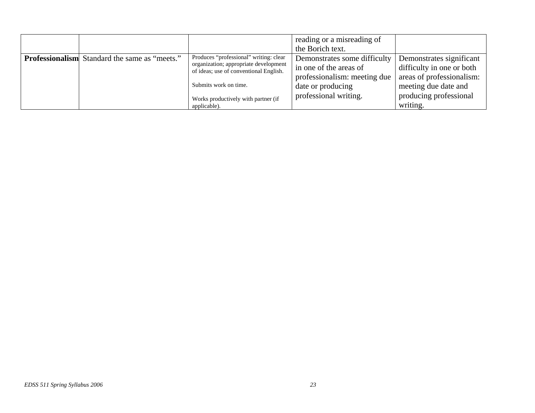|                                                      |                                                                                                                                                                                                           | reading or a misreading of<br>the Borich text.                                                                                       |                                                                                                                                                  |
|------------------------------------------------------|-----------------------------------------------------------------------------------------------------------------------------------------------------------------------------------------------------------|--------------------------------------------------------------------------------------------------------------------------------------|--------------------------------------------------------------------------------------------------------------------------------------------------|
| <b>Professionalism</b> Standard the same as "meets." | Produces "professional" writing: clear<br>organization; appropriate development<br>of ideas; use of conventional English.<br>Submits work on time.<br>Works productively with partner (if<br>applicable). | Demonstrates some difficulty<br>in one of the areas of<br>professionalism: meeting due<br>date or producing<br>professional writing. | Demonstrates significant<br>difficulty in one or both<br>areas of professionalism:<br>meeting due date and<br>producing professional<br>writing. |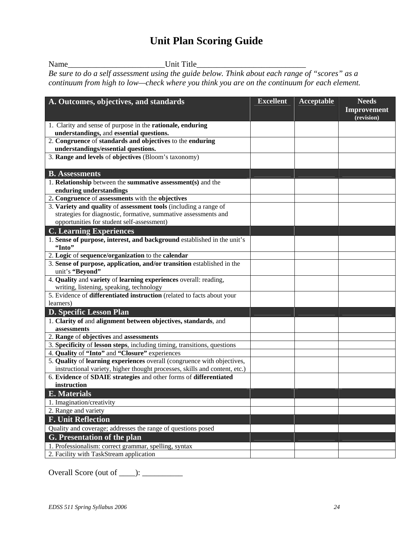# **Unit Plan Scoring Guide**

Name\_\_\_\_\_\_\_\_\_\_\_\_\_\_\_\_\_\_\_\_\_\_\_\_Unit Title\_\_\_\_\_\_\_\_\_\_\_\_\_\_\_\_\_\_\_\_\_\_\_\_\_\_\_

*Be sure to do a self assessment using the guide below. Think about each range of "scores" as a continuum from high to low—check where you think you are on the continuum for each element.* 

| A. Outcomes, objectives, and standards                                     | <b>Excellent</b> | <b>Acceptable</b> | <b>Needs</b>              |
|----------------------------------------------------------------------------|------------------|-------------------|---------------------------|
|                                                                            |                  |                   | Improvement<br>(revision) |
| 1. Clarity and sense of purpose in the <b>rationale</b> , enduring         |                  |                   |                           |
| understandings, and essential questions.                                   |                  |                   |                           |
| 2. Congruence of standards and objectives to the enduring                  |                  |                   |                           |
| understandings/essential questions.                                        |                  |                   |                           |
| 3. Range and levels of objectives (Bloom's taxonomy)                       |                  |                   |                           |
| <b>B.</b> Assessments                                                      |                  |                   |                           |
| 1. Relationship between the summative assessment(s) and the                |                  |                   |                           |
| enduring understandings                                                    |                  |                   |                           |
| 2. Congruence of assessments with the objectives                           |                  |                   |                           |
| 3. Variety and quality of assessment tools (including a range of           |                  |                   |                           |
| strategies for diagnostic, formative, summative assessments and            |                  |                   |                           |
| opportunities for student self-assessment)                                 |                  |                   |                           |
| <b>C. Learning Experiences</b>                                             |                  |                   |                           |
| 1. Sense of purpose, interest, and background established in the unit's    |                  |                   |                           |
| "Into"                                                                     |                  |                   |                           |
| 2. Logic of sequence/organization to the calendar                          |                  |                   |                           |
| 3. Sense of purpose, application, and/or transition established in the     |                  |                   |                           |
| unit's "Beyond"                                                            |                  |                   |                           |
| 4. Quality and variety of learning experiences overall: reading,           |                  |                   |                           |
| writing, listening, speaking, technology                                   |                  |                   |                           |
| 5. Evidence of differentiated instruction (related to facts about your     |                  |                   |                           |
| learners)                                                                  |                  |                   |                           |
| <b>D. Specific Lesson Plan</b>                                             |                  |                   |                           |
| 1. Clarity of and alignment between objectives, standards, and             |                  |                   |                           |
| assessments                                                                |                  |                   |                           |
| 2. Range of objectives and assessments                                     |                  |                   |                           |
| 3. Specificity of lesson steps, including timing, transitions, questions   |                  |                   |                           |
| 4. Quality of "Into" and "Closure" experiences                             |                  |                   |                           |
| 5. Quality of learning experiences overall (congruence with objectives,    |                  |                   |                           |
| instructional variety, higher thought processes, skills and content, etc.) |                  |                   |                           |
| 6. Evidence of SDAIE strategies and other forms of differentiated          |                  |                   |                           |
| instruction                                                                |                  |                   |                           |
| <b>E.</b> Materials                                                        |                  |                   |                           |
| 1. Imagination/creativity                                                  |                  |                   |                           |
| 2. Range and variety                                                       |                  |                   |                           |
| <b>F. Unit Reflection</b>                                                  |                  |                   |                           |
| Quality and coverage; addresses the range of questions posed               |                  |                   |                           |
| G. Presentation of the plan                                                |                  |                   |                           |
| 1. Professionalism: correct grammar, spelling, syntax                      |                  |                   |                           |
| 2. Facility with TaskStream application                                    |                  |                   |                           |

Overall Score (out of \_\_\_\_): \_\_\_\_\_\_\_\_\_\_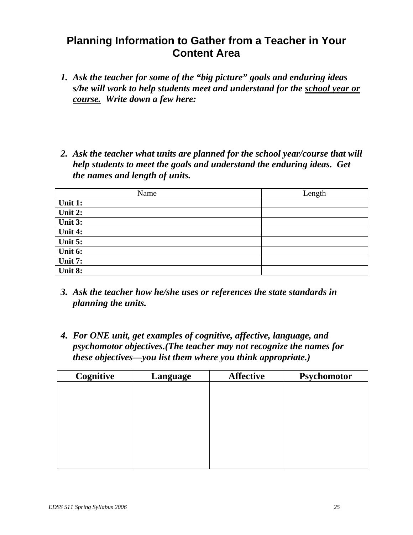# **Planning Information to Gather from a Teacher in Your Content Area**

- *1. Ask the teacher for some of the "big picture" goals and enduring ideas s/he will work to help students meet and understand for the school year or course. Write down a few here:*
- *2. Ask the teacher what units are planned for the school year/course that will help students to meet the goals and understand the enduring ideas. Get the names and length of units.*

| Name    | Length |
|---------|--------|
| Unit 1: |        |
| Unit 2: |        |
| Unit 3: |        |
| Unit 4: |        |
| Unit 5: |        |
| Unit 6: |        |
| Unit 7: |        |
| Unit 8: |        |

- *3. Ask the teacher how he/she uses or references the state standards in planning the units.*
- *4. For ONE unit, get examples of cognitive, affective, language, and psychomotor objectives.(The teacher may not recognize the names for these objectives—you list them where you think appropriate.)*

| Cognitive | <b>Language</b> | <b>Affective</b> | Psychomotor |
|-----------|-----------------|------------------|-------------|
|           |                 |                  |             |
|           |                 |                  |             |
|           |                 |                  |             |
|           |                 |                  |             |
|           |                 |                  |             |
|           |                 |                  |             |
|           |                 |                  |             |
|           |                 |                  |             |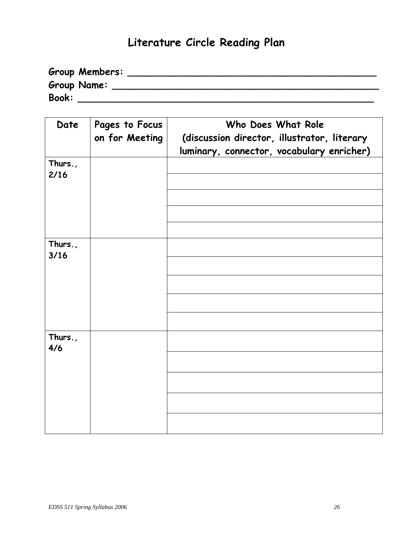# **Literature Circle Reading Plan**

|              | Group Members:     |
|--------------|--------------------|
|              | <b>Group Name:</b> |
| <b>Book:</b> |                    |

| Date    | Pages to Focus | Who Does What Role                          |  |  |
|---------|----------------|---------------------------------------------|--|--|
|         | on for Meeting | (discussion director, illustrator, literary |  |  |
|         |                | luminary, connector, vocabulary enricher)   |  |  |
| Thurs., |                |                                             |  |  |
| 2/16    |                |                                             |  |  |
|         |                |                                             |  |  |
|         |                |                                             |  |  |
|         |                |                                             |  |  |
|         |                |                                             |  |  |
| Thurs., |                |                                             |  |  |
| 3/16    |                |                                             |  |  |
|         |                |                                             |  |  |
|         |                |                                             |  |  |
|         |                |                                             |  |  |
|         |                |                                             |  |  |
|         |                |                                             |  |  |
| Thurs., |                |                                             |  |  |
| 4/6     |                |                                             |  |  |
|         |                |                                             |  |  |
|         |                |                                             |  |  |
|         |                |                                             |  |  |
|         |                |                                             |  |  |
|         |                |                                             |  |  |
|         |                |                                             |  |  |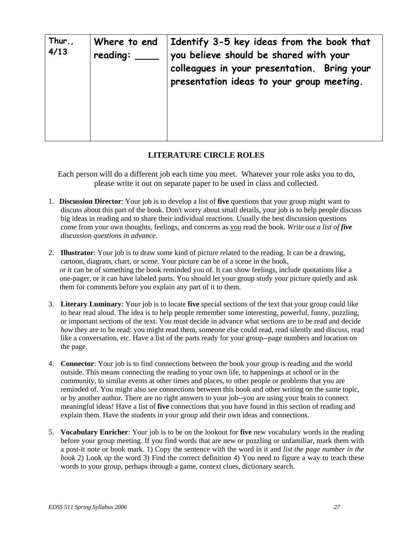| Thur.,<br>4/13 | Where to end<br>reading: | Identify 3-5 key ideas from the book that<br>you believe should be shared with your<br>colleagues in your presentation. Bring your<br>presentation ideas to your group meeting. |  |
|----------------|--------------------------|---------------------------------------------------------------------------------------------------------------------------------------------------------------------------------|--|
|----------------|--------------------------|---------------------------------------------------------------------------------------------------------------------------------------------------------------------------------|--|

# **LITERATURE CIRCLE ROLES**

Each person will do a different job each time you meet. Whatever your role asks you to do, please write it out on separate paper to be used in class and collected.

- 1. **Discussion Director**: Your job is to develop a list of **five** questions that your group might want to discuss about this part of the book. Don't worry about small details, your job is to help people discuss big ideas in reading and to share their individual reactions. Usually the best discussion questions come from your own thoughts, feelings, and concerns as you read the book. *Write out a list of five discussion questions in advance.*
- 2. **Illustrator**: Your job is to draw some kind of picture related to the reading. It can be a drawing, cartoon, diagram, chart, or scene. Your picture can be of a scene in the book, or it can be of something the book reminded you of. It can show feelings, include quotations like a one-pager, or it can have labeled parts. You should let your group study your picture quietly and ask them for comments before you explain any part of it to them.
- 3. **Literary Luminary**: Your job is to locate **five** special sections of the text that your group could like to hear read aloud. The idea is to help people remember some interesting, powerful, funny, puzzling, or important sections of the text. You must decide in advance what sections are to be read and decide *how* they are to be read: you might read them, someone else could read, read silently and discuss, read like a conversation, etc. Have a list of the parts ready for your group--page numbers and location on the page.
- 4. **Connector**: Your job is to find connections between the book your group is reading and the world outside. This means connecting the reading to your own life, to happenings at school or in the community, to similar events at other times and places, to other people or problems that you are reminded of. You might also see connections between this book and other writing on the same topic, or by another author. There are no right answers to your job--you are using your brain to connect meaningful ideas! Have a list of **five** connections that you have found in this section of reading and explain them. Have the students in your group add their own ideas and connections.
- 5. **Vocabulary Enricher**: Your job is to be on the lookout for **five** new vocabulary words in the reading before your group meeting. If you find words that are new or puzzling or unfamiliar, mark them with a post-it note or book mark. 1) Copy the sentence with the word in it and *list the page number in the book* 2) Look up the word 3) Find the correct definition 4) You need to figure a way to teach these words to your group, perhaps through a game, context clues, dictionary search.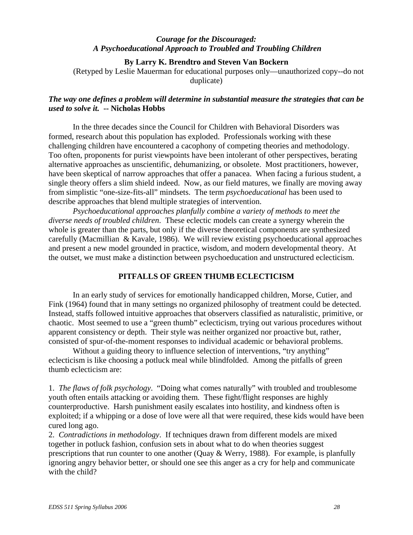### *Courage for the Discouraged: A Psychoeducational Approach to Troubled and Troubling Children*

### **By Larry K. Brendtro and Steven Van Bockern**

(Retyped by Leslie Mauerman for educational purposes only—unauthorized copy--do not duplicate)

# *The way one defines a problem will determine in substantial measure the strategies that can be used to solve it.* **-- Nicholas Hobbs**

 In the three decades since the Council for Children with Behavioral Disorders was formed, research about this population has exploded. Professionals working with these challenging children have encountered a cacophony of competing theories and methodology. Too often, proponents for purist viewpoints have been intolerant of other perspectives, berating alternative approaches as unscientific, dehumanizing, or obsolete. Most practitioners, however, have been skeptical of narrow approaches that offer a panacea. When facing a furious student, a single theory offers a slim shield indeed. Now, as our field matures, we finally are moving away from simplistic "one-size-fits-all" mindsets. The term *psychoeducational* has been used to describe approaches that blend multiple strategies of intervention.

*Psychoeducational approaches planfully combine a variety of methods to meet the diverse needs of troubled children*. These eclectic models can create a synergy wherein the whole is greater than the parts, but only if the diverse theoretical components are synthesized carefully (Macmillian & Kavale, 1986). We will review existing psychoeducational approaches and present a new model grounded in practice, wisdom, and modern developmental theory. At the outset, we must make a distinction between psychoeducation and unstructured eclecticism.

### **PITFALLS OF GREEN THUMB ECLECTICISM**

 In an early study of services for emotionally handicapped children, Morse, Cutier, and Fink (1964) found that in many settings no organized philosophy of treatment could be detected. Instead, staffs followed intuitive approaches that observers classified as naturalistic, primitive, or chaotic. Most seemed to use a "green thumb" eclecticism, trying out various procedures without apparent consistency or depth. Their style was neither organized nor proactive but, rather, consisted of spur-of-the-moment responses to individual academic or behavioral problems.

Without a guiding theory to influence selection of interventions, "try anything" eclecticism is like choosing a potluck meal while blindfolded. Among the pitfalls of green thumb eclecticism are:

1. *The flaws of folk psychology*. "Doing what comes naturally" with troubled and troublesome youth often entails attacking or avoiding them. These fight/flight responses are highly counterproductive. Harsh punishment easily escalates into hostility, and kindness often is exploited; if a whipping or a dose of love were all that were required, these kids would have been cured long ago.

2. *Contradictions in methodology*. If techniques drawn from different models are mixed together in potluck fashion, confusion sets in about what to do when theories suggest prescriptions that run counter to one another (Quay & Werry, 1988). For example, is planfully ignoring angry behavior better, or should one see this anger as a cry for help and communicate with the child?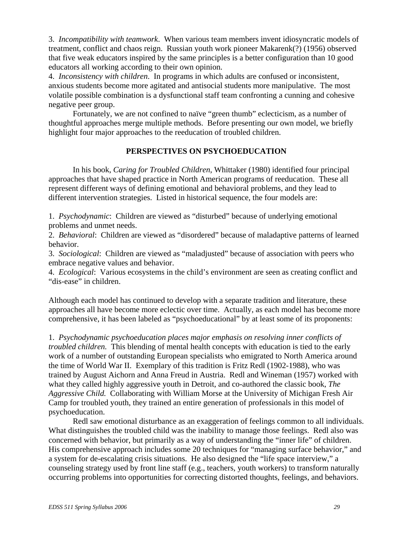3. *Incompatibility with teamwork*. When various team members invent idiosyncratic models of treatment, conflict and chaos reign. Russian youth work pioneer Makarenk(?) (1956) observed that five weak educators inspired by the same principles is a better configuration than 10 good educators all working according to their own opinion.

4. *Inconsistency with children*. In programs in which adults are confused or inconsistent, anxious students become more agitated and antisocial students more manipulative. The most volatile possible combination is a dysfunctional staff team confronting a cunning and cohesive negative peer group.

Fortunately, we are not confined to naïve "green thumb" eclecticism, as a number of thoughtful approaches merge multiple methods. Before presenting our own model, we briefly highlight four major approaches to the reeducation of troubled children.

### **PERSPECTIVES ON PSYCHOEDUCATION**

 In his book, *Caring for Troubled Children*, Whittaker (1980) identified four principal approaches that have shaped practice in North American programs of reeducation. These all represent different ways of defining emotional and behavioral problems, and they lead to different intervention strategies. Listed in historical sequence, the four models are:

1. *Psychodynamic*: Children are viewed as "disturbed" because of underlying emotional problems and unmet needs.

2. *Behavioral*: Children are viewed as "disordered" because of maladaptive patterns of learned behavior.

3. *Sociological*: Children are viewed as "maladjusted" because of association with peers who embrace negative values and behavior.

4. *Ecological*: Various ecosystems in the child's environment are seen as creating conflict and "dis-ease" in children.

Although each model has continued to develop with a separate tradition and literature, these approaches all have become more eclectic over time. Actually, as each model has become more comprehensive, it has been labeled as "psychoeducational" by at least some of its proponents:

1. *Psychodynamic psychoeducation places major emphasis on resolving inner conflicts of troubled children.* This blending of mental health concepts with education is tied to the early work of a number of outstanding European specialists who emigrated to North America around the time of World War II. Exemplary of this tradition is Fritz Redl (1902-1988), who was trained by August Aichorn and Anna Freud in Austria. Redl and Wineman (1957) worked with what they called highly aggressive youth in Detroit, and co-authored the classic book, *The Aggressive Child.* Collaborating with William Morse at the University of Michigan Fresh Air Camp for troubled youth, they trained an entire generation of professionals in this model of psychoeducation.

 Redl saw emotional disturbance as an exaggeration of feelings common to all individuals. What distinguishes the troubled child was the inability to manage those feelings. Redl also was concerned with behavior, but primarily as a way of understanding the "inner life" of children. His comprehensive approach includes some 20 techniques for "managing surface behavior," and a system for de-escalating crisis situations. He also designed the "life space interview," a counseling strategy used by front line staff (e.g., teachers, youth workers) to transform naturally occurring problems into opportunities for correcting distorted thoughts, feelings, and behaviors.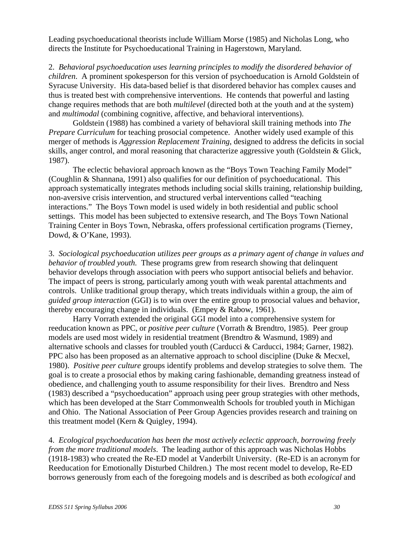Leading psychoeducational theorists include William Morse (1985) and Nicholas Long, who directs the Institute for Psychoeducational Training in Hagerstown, Maryland.

2. *Behavioral psychoeducation uses learning principles to modify the disordered behavior of children*. A prominent spokesperson for this version of psychoeducation is Arnold Goldstein of Syracuse University. His data-based belief is that disordered behavior has complex causes and thus is treated best with comprehensive interventions. He contends that powerful and lasting change requires methods that are both *multilevel* (directed both at the youth and at the system) and *multimodal* (combining cognitive, affective, and behavioral interventions).

 Goldstein (1988) has combined a variety of behavioral skill training methods into *The Prepare Curriculum* for teaching prosocial competence. Another widely used example of this merger of methods is *Aggression Replacement Training*, designed to address the deficits in social skills, anger control, and moral reasoning that characterize aggressive youth (Goldstein & Glick, 1987).

 The eclectic behavioral approach known as the "Boys Town Teaching Family Model" (Coughlin & Shannana, 1991) also qualifies for our definition of psychoeducational. This approach systematically integrates methods including social skills training, relationship building, non-aversive crisis intervention, and structured verbal interventions called "teaching interactions." The Boys Town model is used widely in both residential and public school settings. This model has been subjected to extensive research, and The Boys Town National Training Center in Boys Town, Nebraska, offers professional certification programs (Tierney, Dowd, & O'Kane, 1993).

3. *Sociological psychoeducation utilizes peer groups as a primary agent of change in values and behavior of troubled youth.* These programs grew from research showing that delinquent behavior develops through association with peers who support antisocial beliefs and behavior. The impact of peers is strong, particularly among youth with weak parental attachments and controls. Unlike traditional group therapy, which treats individuals within a group, the aim of *guided group interaction* (GGI) is to win over the entire group to prosocial values and behavior, thereby encouraging change in individuals. (Empey & Rabow, 1961).

 Harry Vorrath extended the original GGI model into a comprehensive system for reeducation known as PPC, or *positive peer culture* (Vorrath & Brendtro, 1985). Peer group models are used most widely in residential treatment (Brendtro & Wasmund, 1989) and alternative schools and classes for troubled youth (Carducci & Carducci, 1984; Garner, 1982). PPC also has been proposed as an alternative approach to school discipline (Duke & Mecxel, 1980). *Positive peer culture* groups identify problems and develop strategies to solve them. The goal is to create a prosocial ethos by making caring fashionable, demanding greatness instead of obedience, and challenging youth to assume responsibility for their lives. Brendtro and Ness (1983) described a "psychoeducation" approach using peer group strategies with other methods, which has been developed at the Starr Commonwealth Schools for troubled youth in Michigan and Ohio. The National Association of Peer Group Agencies provides research and training on this treatment model (Kern & Quigley, 1994).

4. *Ecological psychoeducation has been the most actively eclectic approach, borrowing freely from the more traditional models*. The leading author of this approach was Nicholas Hobbs (1918-1983) who created the Re-ED model at Vanderbilt University. (Re-ED is an acronym for Reeducation for Emotionally Disturbed Children.) The most recent model to develop, Re-ED borrows generously from each of the foregoing models and is described as both *ecological* and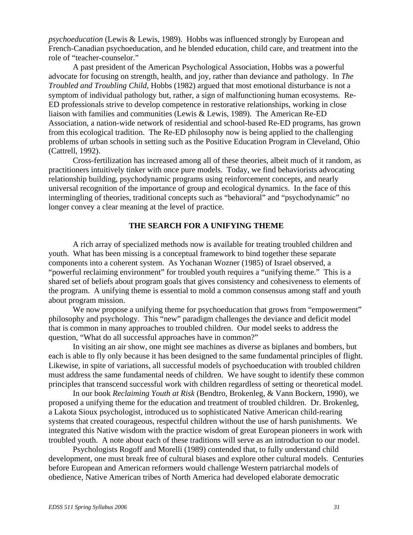*psychoeducation* (Lewis & Lewis, 1989). Hobbs was influenced strongly by European and French-Canadian psychoeducation, and he blended education, child care, and treatment into the role of "teacher-counselor."

 A past president of the American Psychological Association, Hobbs was a powerful advocate for focusing on strength, health, and joy, rather than deviance and pathology. In *The Troubled and Troubling Child*, Hobbs (1982) argued that most emotional disturbance is not a symptom of individual pathology but, rather, a sign of malfunctioning human ecosystems. Re-ED professionals strive to develop competence in restorative relationships, working in close liaison with families and communities (Lewis & Lewis, 1989). The American Re-ED Association, a nation-wide network of residential and school-based Re-ED programs, has grown from this ecological tradition. The Re-ED philosophy now is being applied to the challenging problems of urban schools in setting such as the Positive Education Program in Cleveland, Ohio (Cattrell, 1992).

 Cross-fertilization has increased among all of these theories, albeit much of it random, as practitioners intuitively tinker with once pure models. Today, we find behaviorists advocating relationship building, psychodynamic programs using reinforcement concepts, and nearly universal recognition of the importance of group and ecological dynamics. In the face of this intermingling of theories, traditional concepts such as "behavioral" and "psychodynamic" no longer convey a clear meaning at the level of practice.

### **THE SEARCH FOR A UNIFYING THEME**

 A rich array of specialized methods now is available for treating troubled children and youth. What has been missing is a conceptual framework to bind together these separate components into a coherent system. As Yochanan Wozner (1985) of Israel observed, a "powerful reclaiming environment" for troubled youth requires a "unifying theme." This is a shared set of beliefs about program goals that gives consistency and cohesiveness to elements of the program. A unifying theme is essential to mold a common consensus among staff and youth about program mission.

We now propose a unifying theme for psychoeducation that grows from "empowerment" philosophy and psychology. This "new" paradigm challenges the deviance and deficit model that is common in many approaches to troubled children. Our model seeks to address the question, "What do all successful approaches have in common?"

 In visiting an air show, one might see machines as diverse as biplanes and bombers, but each is able to fly only because it has been designed to the same fundamental principles of flight. Likewise, in spite of variations, all successful models of psychoeducation with troubled children must address the same fundamental needs of children. We have sought to identify these common principles that transcend successful work with children regardless of setting or theoretical model.

 In our book *Reclaiming Youth at Risk* (Bendtro, Brokenleg, & Vann Bockern, 1990), we proposed a unifying theme for the education and treatment of troubled children. Dr. Brokenleg, a Lakota Sioux psychologist, introduced us to sophisticated Native American child-rearing systems that created courageous, respectful children without the use of harsh punishments. We integrated this Native wisdom with the practice wisdom of great European pioneers in work with troubled youth. A note about each of these traditions will serve as an introduction to our model.

 Psychologists Rogoff and Morelli (1989) contended that, to fully understand child development, one must break free of cultural biases and explore other cultural models. Centuries before European and American reformers would challenge Western patriarchal models of obedience, Native American tribes of North America had developed elaborate democratic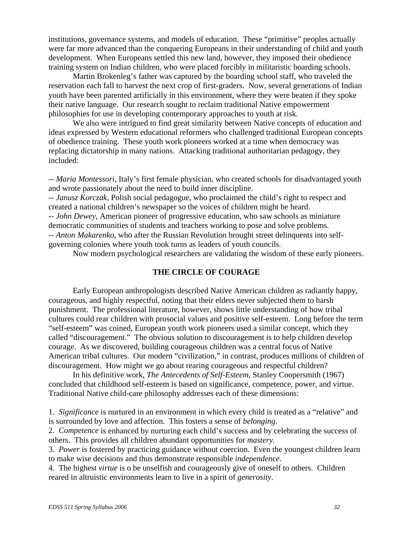institutions, governance systems, and models of education. These "primitive" peoples actually were far more advanced than the conquering Europeans in their understanding of child and youth development. When Europeans settled this new land, however, they imposed their obedience training system on Indian children, who were placed forcibly in militaristic boarding schools.

 Martin Brokenleg's father was captured by the boarding school staff, who traveled the reservation each fall to harvest the next crop of first-graders. Now, several generations of Indian youth have been parented artificially in this environment, where they were beaten if they spoke their native language. Our research sought to reclaim traditional Native empowerment philosophies for use in developing contemporary approaches to youth at risk.

 We also were intrigued to find great similarity between Native concepts of education and ideas expressed by Western educational reformers who challenged traditional European concepts of obedience training. These youth work pioneers worked at a time when democracy was replacing dictatorship in many nations. Attacking traditional authoritarian pedagogy, they included:

-- *Maria Montessori*, Italy's first female physician, who created schools for disadvantaged youth and wrote passionately about the need to build inner discipline.

-- *Janusz Korczak*, Polish social pedagogue, who proclaimed the child's right to respect and created a national children's newspaper so the voices of children might be heard.

-- *John Dewey*, American pioneer of progressive education, who saw schools as miniature democratic communities of students and teachers working to pose and solve problems. -- *Anton Makarenko*, who after the Russian Revolution brought street delinquents into selfgoverning colonies where youth took turns as leaders of youth councils.

Now modern psychological researchers are validating the wisdom of these early pioneers.

# **THE CIRCLE OF COURAGE**

 Early European anthropologists described Native American children as radiantly happy, courageous, and highly respectful, noting that their elders never subjected them to harsh punishment. The professional literature, however, shows little understanding of how tribal cultures could rear children with prosocial values and positive self-esteem. Long before the term "self-esteem" was coined, European youth work pioneers used a similar concept, which they called "discouragement." The obvious solution to discouragement is to help children develop courage. As we discovered, building courageous children was a central focus of Native American tribal cultures. Our modern "civilization," in contrast, produces millions of children of discouragement. How might we go about rearing courageous and respectful children?

 In his definitive work, *The Antecedents of Self-Esteem*, Stanley Coopersmith (1967) concluded that childhood self-esteem is based on significance, competence, power, and virtue. Traditional Native child-care philosophy addresses each of these dimensions:

1. *Significance* is nurtured in an environment in which every child is treated as a "relative" and is surrounded by love and affection. This fosters a sense of *belonging*.

2. *Competence* is enhanced by nurturing each child's success and by celebrating the success of others. This provides all children abundant opportunities for *mastery*.

3. *Power* is fostered by practicing guidance without coercion. Even the youngest children learn to make wise decisions and thus demonstrate responsible *independence*.

4. The highest *virtue* is o be unselfish and courageously give of oneself to others. Children reared in altruistic environments learn to live in a spirit of *generosity*.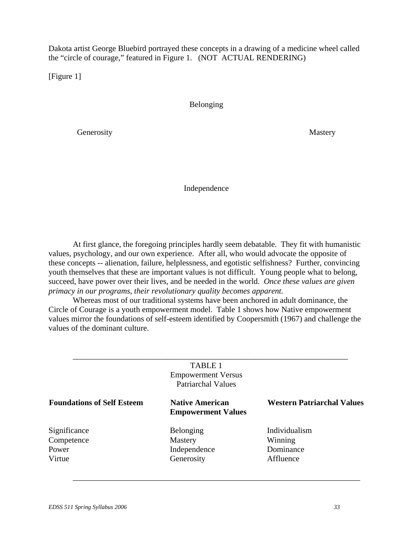Dakota artist George Bluebird portrayed these concepts in a drawing of a medicine wheel called the "circle of courage," featured in Figure 1. (NOT ACTUAL RENDERING)

[Figure 1]

# Belonging

Generosity Mastery

Independence

 At first glance, the foregoing principles hardly seem debatable. They fit with humanistic values, psychology, and our own experience. After all, who would advocate the opposite of these concepts -- alienation, failure, helplessness, and egotistic selfishness? Further, convincing youth themselves that these are important values is not difficult. Young people what to belong, succeed, have power over their lives, and be needed in the world. *Once these values are given primacy in our programs, their revolutionary quality becomes apparent.*

 Whereas most of our traditional systems have been anchored in adult dominance, the Circle of Courage is a youth empowerment model. Table 1 shows how Native empowerment values mirror the foundations of self-esteem identified by Coopersmith (1967) and challenge the values of the dominant culture.

|                                   | TABLE 1<br><b>Empowerment Versus</b><br><b>Patriarchal Values</b> |                            |
|-----------------------------------|-------------------------------------------------------------------|----------------------------|
| <b>Foundations of Self Esteem</b> | <b>Native American</b><br><b>Empowerment Values</b>               | Western Patriarchal Values |
| Significance                      | Belonging                                                         | Individualism              |
| Competence                        | Mastery                                                           | Winning                    |
| Power                             | Independence                                                      | Dominance                  |
| Virtue                            | Generosity                                                        | Affluence                  |

\_\_\_\_\_\_\_\_\_\_\_\_\_\_\_\_\_\_\_\_\_\_\_\_\_\_\_\_\_\_\_\_\_\_\_\_\_\_\_\_\_\_\_\_\_\_\_\_\_\_\_\_\_\_\_\_\_\_\_\_\_\_\_\_\_\_\_\_\_\_\_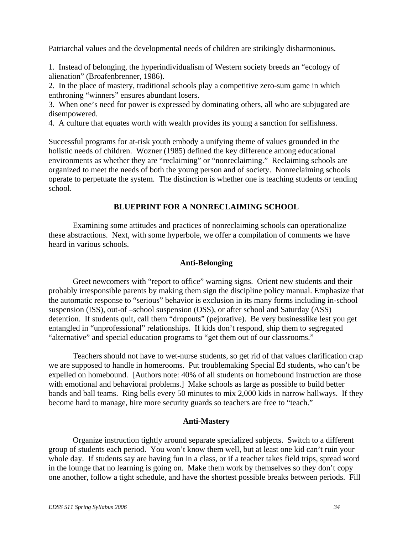Patriarchal values and the developmental needs of children are strikingly disharmonious.

1. Instead of belonging, the hyperindividualism of Western society breeds an "ecology of alienation" (Broafenbrenner, 1986).

2. In the place of mastery, traditional schools play a competitive zero-sum game in which enthroning "winners" ensures abundant losers.

3. When one's need for power is expressed by dominating others, all who are subjugated are disempowered.

4. A culture that equates worth with wealth provides its young a sanction for selfishness.

Successful programs for at-risk youth embody a unifying theme of values grounded in the holistic needs of children. Wozner (1985) defined the key difference among educational environments as whether they are "reclaiming" or "nonreclaiming." Reclaiming schools are organized to meet the needs of both the young person and of society. Nonreclaiming schools operate to perpetuate the system. The distinction is whether one is teaching students or tending school.

### **BLUEPRINT FOR A NONRECLAIMING SCHOOL**

 Examining some attitudes and practices of nonreclaiming schools can operationalize these abstractions. Next, with some hyperbole, we offer a compilation of comments we have heard in various schools.

### **Anti-Belonging**

 Greet newcomers with "report to office" warning signs. Orient new students and their probably irresponsible parents by making them sign the discipline policy manual. Emphasize that the automatic response to "serious" behavior is exclusion in its many forms including in-school suspension (ISS), out-of –school suspension (OSS), or after school and Saturday (ASS) detention. If students quit, call them "dropouts" (pejorative). Be very businesslike lest you get entangled in "unprofessional" relationships. If kids don't respond, ship them to segregated "alternative" and special education programs to "get them out of our classrooms."

 Teachers should not have to wet-nurse students, so get rid of that values clarification crap we are supposed to handle in homerooms. Put troublemaking Special Ed students, who can't be expelled on homebound. [Authors note: 40% of all students on homebound instruction are those with emotional and behavioral problems.] Make schools as large as possible to build better bands and ball teams. Ring bells every 50 minutes to mix 2,000 kids in narrow hallways. If they become hard to manage, hire more security guards so teachers are free to "teach."

### **Anti-Mastery**

 Organize instruction tightly around separate specialized subjects. Switch to a different group of students each period. You won't know them well, but at least one kid can't ruin your whole day. If students say are having fun in a class, or if a teacher takes field trips, spread word in the lounge that no learning is going on. Make them work by themselves so they don't copy one another, follow a tight schedule, and have the shortest possible breaks between periods. Fill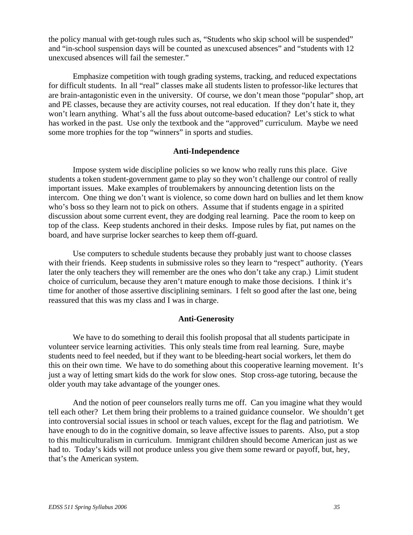the policy manual with get-tough rules such as, "Students who skip school will be suspended" and "in-school suspension days will be counted as unexcused absences" and "students with 12 unexcused absences will fail the semester."

 Emphasize competition with tough grading systems, tracking, and reduced expectations for difficult students. In all "real" classes make all students listen to professor-like lectures that are brain-antagonistic even in the university. Of course, we don't mean those "popular" shop, art and PE classes, because they are activity courses, not real education. If they don't hate it, they won't learn anything. What's all the fuss about outcome-based education? Let's stick to what has worked in the past. Use only the textbook and the "approved" curriculum. Maybe we need some more trophies for the top "winners" in sports and studies.

### **Anti-Independence**

 Impose system wide discipline policies so we know who really runs this place. Give students a token student-government game to play so they won't challenge our control of really important issues. Make examples of troublemakers by announcing detention lists on the intercom. One thing we don't want is violence, so come down hard on bullies and let them know who's boss so they learn not to pick on others. Assume that if students engage in a spirited discussion about some current event, they are dodging real learning. Pace the room to keep on top of the class. Keep students anchored in their desks. Impose rules by fiat, put names on the board, and have surprise locker searches to keep them off-guard.

 Use computers to schedule students because they probably just want to choose classes with their friends. Keep students in submissive roles so they learn to "respect" authority. (Years later the only teachers they will remember are the ones who don't take any crap.) Limit student choice of curriculum, because they aren't mature enough to make those decisions. I think it's time for another of those assertive disciplining seminars. I felt so good after the last one, being reassured that this was my class and I was in charge.

#### **Anti-Generosity**

 We have to do something to derail this foolish proposal that all students participate in volunteer service learning activities. This only steals time from real learning. Sure, maybe students need to feel needed, but if they want to be bleeding-heart social workers, let them do this on their own time. We have to do something about this cooperative learning movement. It's just a way of letting smart kids do the work for slow ones. Stop cross-age tutoring, because the older youth may take advantage of the younger ones.

 And the notion of peer counselors really turns me off. Can you imagine what they would tell each other? Let them bring their problems to a trained guidance counselor. We shouldn't get into controversial social issues in school or teach values, except for the flag and patriotism. We have enough to do in the cognitive domain, so leave affective issues to parents. Also, put a stop to this multiculturalism in curriculum. Immigrant children should become American just as we had to. Today's kids will not produce unless you give them some reward or payoff, but, hey, that's the American system.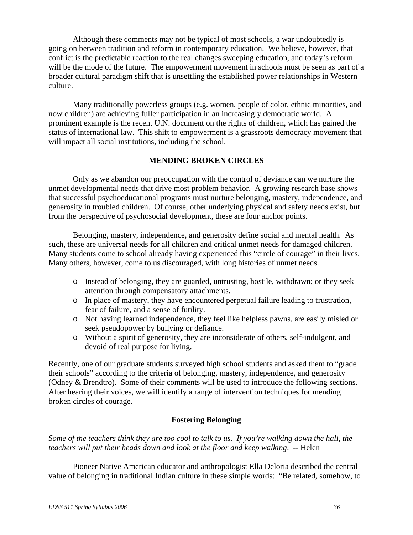Although these comments may not be typical of most schools, a war undoubtedly is going on between tradition and reform in contemporary education. We believe, however, that conflict is the predictable reaction to the real changes sweeping education, and today's reform will be the mode of the future. The empowerment movement in schools must be seen as part of a broader cultural paradigm shift that is unsettling the established power relationships in Western culture.

 Many traditionally powerless groups (e.g. women, people of color, ethnic minorities, and now children) are achieving fuller participation in an increasingly democratic world. A prominent example is the recent U.N. document on the rights of children, which has gained the status of international law. This shift to empowerment is a grassroots democracy movement that will impact all social institutions, including the school.

### **MENDING BROKEN CIRCLES**

 Only as we abandon our preoccupation with the control of deviance can we nurture the unmet developmental needs that drive most problem behavior. A growing research base shows that successful psychoeducational programs must nurture belonging, mastery, independence, and generosity in troubled children. Of course, other underlying physical and safety needs exist, but from the perspective of psychosocial development, these are four anchor points.

 Belonging, mastery, independence, and generosity define social and mental health. As such, these are universal needs for all children and critical unmet needs for damaged children. Many students come to school already having experienced this "circle of courage" in their lives. Many others, however, come to us discouraged, with long histories of unmet needs.

- o Instead of belonging, they are guarded, untrusting, hostile, withdrawn; or they seek attention through compensatory attachments.
- o In place of mastery, they have encountered perpetual failure leading to frustration, fear of failure, and a sense of futility.
- o Not having learned independence, they feel like helpless pawns, are easily misled or seek pseudopower by bullying or defiance.
- o Without a spirit of generosity, they are inconsiderate of others, self-indulgent, and devoid of real purpose for living.

Recently, one of our graduate students surveyed high school students and asked them to "grade their schools" according to the criteria of belonging, mastery, independence, and generosity (Odney & Brendtro). Some of their comments will be used to introduce the following sections. After hearing their voices, we will identify a range of intervention techniques for mending broken circles of courage.

# **Fostering Belonging**

*Some of the teachers think they are too cool to talk to us. If you're walking down the hall, the teachers will put their heads down and look at the floor and keep walking*. -- Helen

 Pioneer Native American educator and anthropologist Ella Deloria described the central value of belonging in traditional Indian culture in these simple words: "Be related, somehow, to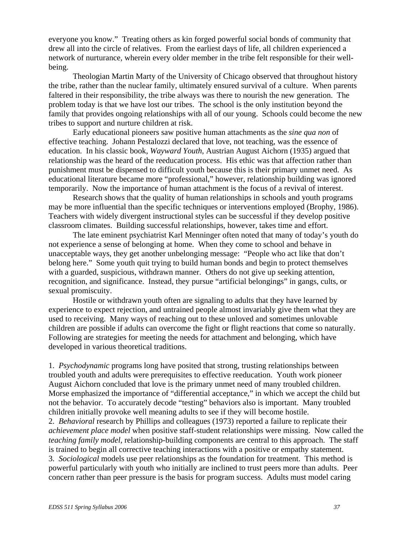everyone you know." Treating others as kin forged powerful social bonds of community that drew all into the circle of relatives. From the earliest days of life, all children experienced a network of nurturance, wherein every older member in the tribe felt responsible for their wellbeing.

 Theologian Martin Marty of the University of Chicago observed that throughout history the tribe, rather than the nuclear family, ultimately ensured survival of a culture. When parents faltered in their responsibility, the tribe always was there to nourish the new generation. The problem today is that we have lost our tribes. The school is the only institution beyond the family that provides ongoing relationships with all of our young. Schools could become the new tribes to support and nurture children at risk.

 Early educational pioneers saw positive human attachments as the *sine qua non* of effective teaching. Johann Pestalozzi declared that love, not teaching, was the essence of education. In his classic book, *Wayward Youth*, Austrian August Aichorn (1935) argued that relationship was the heard of the reeducation process. His ethic was that affection rather than punishment must be dispensed to difficult youth because this is their primary unmet need. As educational literature became more "professional," however, relationship building was ignored temporarily. Now the importance of human attachment is the focus of a revival of interest.

 Research shows that the quality of human relationships in schools and youth programs may be more influential than the specific techniques or interventions employed (Brophy, 1986). Teachers with widely divergent instructional styles can be successful if they develop positive classroom climates. Building successful relationships, however, takes time and effort.

 The late eminent psychiatrist Karl Menninger often noted that many of today's youth do not experience a sense of belonging at home. When they come to school and behave in unacceptable ways, they get another unbelonging message: "People who act like that don't belong here." Some youth quit trying to build human bonds and begin to protect themselves with a guarded, suspicious, withdrawn manner. Others do not give up seeking attention, recognition, and significance. Instead, they pursue "artificial belongings" in gangs, cults, or sexual promiscuity.

 Hostile or withdrawn youth often are signaling to adults that they have learned by experience to expect rejection, and untrained people almost invariably give them what they are used to receiving. Many ways of reaching out to these unloved and sometimes unlovable children are possible if adults can overcome the fight or flight reactions that come so naturally. Following are strategies for meeting the needs for attachment and belonging, which have developed in various theoretical traditions.

1. *Psychodynamic* programs long have posited that strong, trusting relationships between troubled youth and adults were prerequisites to effective reeducation. Youth work pioneer August Aichorn concluded that love is the primary unmet need of many troubled children. Morse emphasized the importance of "differential acceptance," in which we accept the child but not the behavior. To accurately decode "testing" behaviors also is important. Many troubled children initially provoke well meaning adults to see if they will become hostile.

2. *Behavioral* research by Phillips and colleagues (1973) reported a failure to replicate their *achievement place model* when positive staff-student relationships were missing. Now called the *teaching family model*, relationship-building components are central to this approach. The staff is trained to begin all corrective teaching interactions with a positive or empathy statement. 3. *Sociological* models use peer relationships as the foundation for treatment. This method is powerful particularly with youth who initially are inclined to trust peers more than adults. Peer concern rather than peer pressure is the basis for program success. Adults must model caring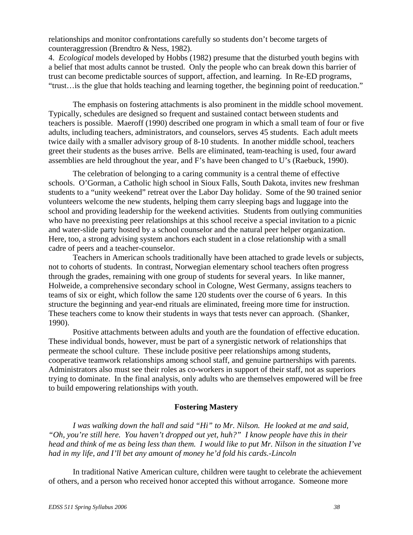relationships and monitor confrontations carefully so students don't become targets of counteraggression (Brendtro & Ness, 1982).

4. *Ecological* models developed by Hobbs (1982) presume that the disturbed youth begins with a belief that most adults cannot be trusted. Only the people who can break down this barrier of trust can become predictable sources of support, affection, and learning. In Re-ED programs, "trust…is the glue that holds teaching and learning together, the beginning point of reeducation."

The emphasis on fostering attachments is also prominent in the middle school movement. Typically, schedules are designed so frequent and sustained contact between students and teachers is possible. Maeroff (1990) described one program in which a small team of four or five adults, including teachers, administrators, and counselors, serves 45 students. Each adult meets twice daily with a smaller advisory group of 8-10 students. In another middle school, teachers greet their students as the buses arrive. Bells are eliminated, team-teaching is used, four award assemblies are held throughout the year, and F's have been changed to U's (Raebuck, 1990).

 The celebration of belonging to a caring community is a central theme of effective schools. O'Gorman, a Catholic high school in Sioux Falls, South Dakota, invites new freshman students to a "unity weekend" retreat over the Labor Day holiday. Some of the 90 trained senior volunteers welcome the new students, helping them carry sleeping bags and luggage into the school and providing leadership for the weekend activities. Students from outlying communities who have no preexisting peer relationships at this school receive a special invitation to a picnic and water-slide party hosted by a school counselor and the natural peer helper organization. Here, too, a strong advising system anchors each student in a close relationship with a small cadre of peers and a teacher-counselor.

 Teachers in American schools traditionally have been attached to grade levels or subjects, not to cohorts of students. In contrast, Norwegian elementary school teachers often progress through the grades, remaining with one group of students for several years. In like manner, Holweide, a comprehensive secondary school in Cologne, West Germany, assigns teachers to teams of six or eight, which follow the same 120 students over the course of 6 years. In this structure the beginning and year-end rituals are eliminated, freeing more time for instruction. These teachers come to know their students in ways that tests never can approach. (Shanker, 1990).

 Positive attachments between adults and youth are the foundation of effective education. These individual bonds, however, must be part of a synergistic network of relationships that permeate the school culture. These include positive peer relationships among students, cooperative teamwork relationships among school staff, and genuine partnerships with parents. Administrators also must see their roles as co-workers in support of their staff, not as superiors trying to dominate. In the final analysis, only adults who are themselves empowered will be free to build empowering relationships with youth.

### **Fostering Mastery**

*I was walking down the hall and said "Hi" to Mr. Nilson. He looked at me and said, "Oh, you're still here. You haven't dropped out yet, huh?" I know people have this in their head and think of me as being less than them. I would like to put Mr. Nilson in the situation I've had in my life, and I'll bet any amount of money he'd fold his cards.-Lincoln*

 In traditional Native American culture, children were taught to celebrate the achievement of others, and a person who received honor accepted this without arrogance. Someone more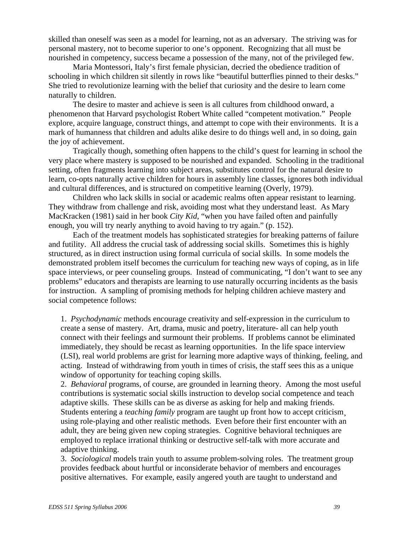skilled than oneself was seen as a model for learning, not as an adversary. The striving was for personal mastery, not to become superior to one's opponent. Recognizing that all must be nourished in competency, success became a possession of the many, not of the privileged few.

 Maria Montessori, Italy's first female physician, decried the obedience tradition of schooling in which children sit silently in rows like "beautiful butterflies pinned to their desks." She tried to revolutionize learning with the belief that curiosity and the desire to learn come naturally to children.

 The desire to master and achieve is seen is all cultures from childhood onward, a phenomenon that Harvard psychologist Robert White called "competent motivation." People explore, acquire language, construct things, and attempt to cope with their environments. It is a mark of humanness that children and adults alike desire to do things well and, in so doing, gain the joy of achievement.

 Tragically though, something often happens to the child's quest for learning in school the very place where mastery is supposed to be nourished and expanded. Schooling in the traditional setting, often fragments learning into subject areas, substitutes control for the natural desire to learn, co-opts naturally active children for hours in assembly line classes, ignores both individual and cultural differences, and is structured on competitive learning (Overly, 1979).

 Children who lack skills in social or academic realms often appear resistant to learning. They withdraw from challenge and risk, avoiding most what they understand least. As Mary MacKracken (1981) said in her book *City Kid*, "when you have failed often and painfully enough, you will try nearly anything to avoid having to try again." (p. 152).

 Each of the treatment models has sophisticated strategies for breaking patterns of failure and futility. All address the crucial task of addressing social skills. Sometimes this is highly structured, as in direct instruction using formal curricula of social skills. In some models the demonstrated problem itself becomes the curriculum for teaching new ways of coping, as in life space interviews, or peer counseling groups. Instead of communicating, "I don't want to see any problems" educators and therapists are learning to use naturally occurring incidents as the basis for instruction. A sampling of promising methods for helping children achieve mastery and social competence follows:

1. *Psychodynamic* methods encourage creativity and self-expression in the curriculum to create a sense of mastery. Art, drama, music and poetry, literature- all can help youth connect with their feelings and surmount their problems. If problems cannot be eliminated immediately, they should be recast as learning opportunities. In the life space interview (LSI), real world problems are grist for learning more adaptive ways of thinking, feeling, and acting. Instead of withdrawing from youth in times of crisis, the staff sees this as a unique window of opportunity for teaching coping skills.

2. *Behavioral* programs, of course, are grounded in learning theory. Among the most useful contributions is systematic social skills instruction to develop social competence and teach adaptive skills. These skills can be as diverse as asking for help and making friends. Students entering a *teaching family* program are taught up front how to accept criticism. using role-playing and other realistic methods. Even before their first encounter with an adult, they are being given new coping strategies. Cognitive behavioral techniques are employed to replace irrational thinking or destructive self-talk with more accurate and adaptive thinking.

3. *Sociological* models train youth to assume problem-solving roles. The treatment group provides feedback about hurtful or inconsiderate behavior of members and encourages positive alternatives. For example, easily angered youth are taught to understand and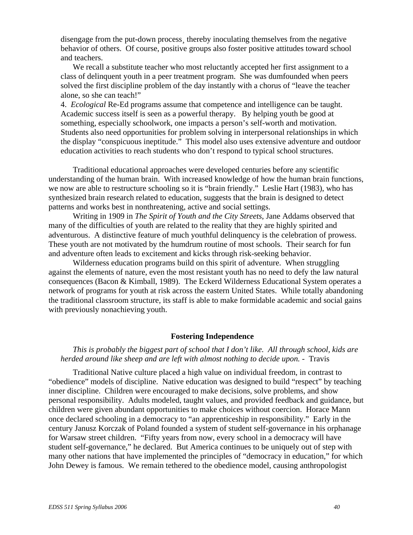disengage from the put-down process¸ thereby inoculating themselves from the negative behavior of others. Of course, positive groups also foster positive attitudes toward school and teachers.

We recall a substitute teacher who most reluctantly accepted her first assignment to a class of delinquent youth in a peer treatment program. She was dumfounded when peers solved the first discipline problem of the day instantly with a chorus of "leave the teacher alone, so she can teach!"

4. *Ecological* Re-Ed programs assume that competence and intelligence can be taught. Academic success itself is seen as a powerful therapy. By helping youth be good at something, especially schoolwork, one impacts a person's self-worth and motivation. Students also need opportunities for problem solving in interpersonal relationships in which the display "conspicuous ineptitude." This model also uses extensive adventure and outdoor education activities to reach students who don't respond to typical school structures.

 Traditional educational approaches were developed centuries before any scientific understanding of the human brain. With increased knowledge of how the human brain functions, we now are able to restructure schooling so it is "brain friendly." Leslie Hart (1983), who has synthesized brain research related to education, suggests that the brain is designed to detect patterns and works best in nonthreatening, active and social settings.

Writing in 1909 in *The Spirit of Youth and the City Streets*, Jane Addams observed that many of the difficulties of youth are related to the reality that they are highly spirited and adventurous. A distinctive feature of much youthful delinquency is the celebration of prowess. These youth are not motivated by the humdrum routine of most schools. Their search for fun and adventure often leads to excitement and kicks through risk-seeking behavior.

 Wilderness education programs build on this spirit of adventure. When struggling against the elements of nature, even the most resistant youth has no need to defy the law natural consequences (Bacon & Kimball, 1989). The Eckerd Wilderness Educational System operates a network of programs for youth at risk across the eastern United States. While totally abandoning the traditional classroom structure, its staff is able to make formidable academic and social gains with previously nonachieving youth.

### **Fostering Independence**

 *This is probably the biggest part of school that I don't like. All through school, kids are herded around like sheep and are left with almost nothing to decide upon.* - Travis

 Traditional Native culture placed a high value on individual freedom, in contrast to "obedience" models of discipline. Native education was designed to build "respect" by teaching inner discipline. Children were encouraged to make decisions, solve problems, and show personal responsibility. Adults modeled, taught values, and provided feedback and guidance, but children were given abundant opportunities to make choices without coercion. Horace Mann once declared schooling in a democracy to "an apprenticeship in responsibility." Early in the century Janusz Korczak of Poland founded a system of student self-governance in his orphanage for Warsaw street children. "Fifty years from now, every school in a democracy will have student self-governance," he declared. But America continues to be uniquely out of step with many other nations that have implemented the principles of "democracy in education," for which John Dewey is famous. We remain tethered to the obedience model, causing anthropologist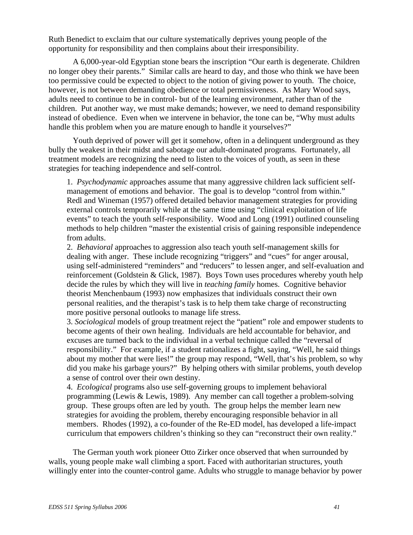Ruth Benedict to exclaim that our culture systematically deprives young people of the opportunity for responsibility and then complains about their irresponsibility.

 A 6,000-year-old Egyptian stone bears the inscription "Our earth is degenerate. Children no longer obey their parents." Similar calls are heard to day, and those who think we have been too permissive could be expected to object to the notion of giving power to youth. The choice, however, is not between demanding obedience or total permissiveness. As Mary Wood says, adults need to continue to be in control- but of the learning environment, rather than of the children. Put another way, we must make demands; however, we need to demand responsibility instead of obedience. Even when we intervene in behavior, the tone can be, "Why must adults handle this problem when you are mature enough to handle it yourselves?"

 Youth deprived of power will get it somehow, often in a delinquent underground as they bully the weakest in their midst and sabotage our adult-dominated programs. Fortunately, all treatment models are recognizing the need to listen to the voices of youth, as seen in these strategies for teaching independence and self-control.

1. *Psychodynamic* approaches assume that many aggressive children lack sufficient selfmanagement of emotions and behavior. The goal is to develop "control from within." Redl and Wineman (1957) offered detailed behavior management strategies for providing external controls temporarily while at the same time using "clinical exploitation of life events" to teach the youth self-responsibility. Wood and Long (1991) outlined counseling methods to help children "master the existential crisis of gaining responsible independence from adults.

2. *Behavioral* approaches to aggression also teach youth self-management skills for dealing with anger. These include recognizing "triggers" and "cues" for anger arousal, using self-administered "reminders" and "reducers" to lessen anger, and self-evaluation and reinforcement (Goldstein & Glick, 1987). Boys Town uses procedures whereby youth help decide the rules by which they will live in *teaching family* homes. Cognitive behavior theorist Menchenbaum (1993) now emphasizes that individuals construct their own personal realities, and the therapist's task is to help them take charge of reconstructing more positive personal outlooks to manage life stress.

3. *Sociological* models of group treatment reject the "patient" role and empower students to become agents of their own healing. Individuals are held accountable for behavior, and excuses are turned back to the individual in a verbal technique called the "reversal of responsibility." For example, if a student rationalizes a fight, saying, "Well, he said things about my mother that were lies!" the group may respond, "Well, that's his problem, so why did you make his garbage yours?" By helping others with similar problems, youth develop a sense of control over their own destiny.

4. *Ecological* programs also use self-governing groups to implement behavioral programming (Lewis & Lewis, 1989). Any member can call together a problem-solving group. These groups often are led by youth. The group helps the member learn new strategies for avoiding the problem, thereby encouraging responsible behavior in all members. Rhodes (1992), a co-founder of the Re-ED model, has developed a life-impact curriculum that empowers children's thinking so they can "reconstruct their own reality."

The German youth work pioneer Otto Zirker once observed that when surrounded by walls, young people make wall climbing a sport. Faced with authoritarian structures, youth willingly enter into the counter-control game. Adults who struggle to manage behavior by power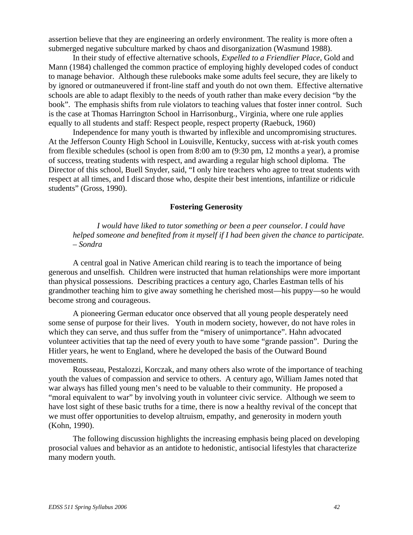assertion believe that they are engineering an orderly environment. The reality is more often a submerged negative subculture marked by chaos and disorganization (Wasmund 1988).

In their study of effective alternative schools, *Expelled to a Friendlier Place*, Gold and Mann (1984) challenged the common practice of employing highly developed codes of conduct to manage behavior. Although these rulebooks make some adults feel secure, they are likely to by ignored or outmaneuvered if front-line staff and youth do not own them. Effective alternative schools are able to adapt flexibly to the needs of youth rather than make every decision "by the book". The emphasis shifts from rule violators to teaching values that foster inner control. Such is the case at Thomas Harrington School in Harrisonburg., Virginia, where one rule applies equally to all students and staff: Respect people, respect property (Raebuck, 1960)

Independence for many youth is thwarted by inflexible and uncompromising structures. At the Jefferson County High School in Louisville, Kentucky, success with at-risk youth comes from flexible schedules (school is open from 8:00 am to (9:30 pm, 12 months a year), a promise of success, treating students with respect, and awarding a regular high school diploma. The Director of this school, Buell Snyder, said, "I only hire teachers who agree to treat students with respect at all times, and I discard those who, despite their best intentions, infantilize or ridicule students" (Gross, 1990).

### **Fostering Generosity**

*I would have liked to tutor something or been a peer counselor. I could have helped someone and benefited from it myself if I had been given the chance to participate. – Sondra* 

A central goal in Native American child rearing is to teach the importance of being generous and unselfish. Children were instructed that human relationships were more important than physical possessions. Describing practices a century ago, Charles Eastman tells of his grandmother teaching him to give away something he cherished most—his puppy—so he would become strong and courageous.

 A pioneering German educator once observed that all young people desperately need some sense of purpose for their lives. Youth in modern society, however, do not have roles in which they can serve, and thus suffer from the "misery of unimportance". Hahn advocated volunteer activities that tap the need of every youth to have some "grande passion". During the Hitler years, he went to England, where he developed the basis of the Outward Bound movements.

 Rousseau, Pestalozzi, Korczak, and many others also wrote of the importance of teaching youth the values of compassion and service to others. A century ago, William James noted that war always has filled young men's need to be valuable to their community. He proposed a "moral equivalent to war" by involving youth in volunteer civic service. Although we seem to have lost sight of these basic truths for a time, there is now a healthy revival of the concept that we must offer opportunities to develop altruism, empathy, and generosity in modern youth (Kohn, 1990).

 The following discussion highlights the increasing emphasis being placed on developing prosocial values and behavior as an antidote to hedonistic, antisocial lifestyles that characterize many modern youth.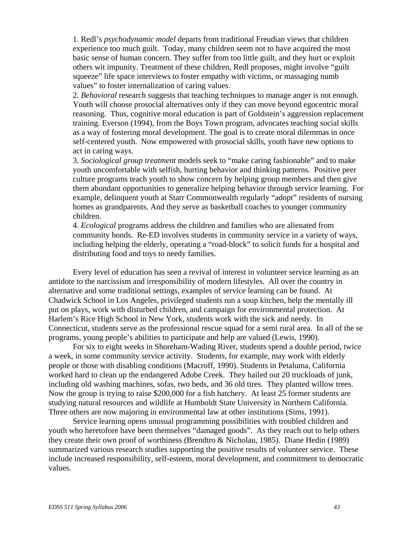1. Redl's *psychodynamic model* departs from traditional Freudian views that children experience too much guilt. Today, many children seem not to have acquired the most basic sense of human concern. They suffer from too little guilt, and they hurt or exploit others wit impunity. Treatment of these children, Redl proposes, might involve "guilt squeeze" life space interviews to foster empathy with victims, or massaging numb values" to foster internalization of caring values.

2. *Behavioral* research suggests that teaching techniques to manage anger is not enough. Youth will choose prosocial alternatives only if they can move beyond egocentric moral reasoning. Thus, cognitive moral education is part of Goldstein's aggression replacement training. Everson (1994), from the Boys Town program, advocates teaching social skills as a way of fostering moral development. The goal is to create moral dilemmas in once self-centered youth. Now empowered with prosocial skills, youth have new options to act in caring ways.

3. *Sociological group treatment* models seek to "make caring fashionable" and to make youth uncomfortable with selfish, hurting behavior and thinking patterns. Positive peer culture programs teach youth to show concern by helping group members and then give them abundant opportunities to generalize helping behavior through service learning. For example, delinquent youth at Starr Commonwealth regularly "adopt" residents of nursing homes as grandparents. And they serve as basketball coaches to younger community children.

4. *Ecological* programs address the children and families who are alienated from community bonds. Re-ED involves students in community service in a variety of ways, including helping the elderly, operating a "road-block" to solicit funds for a hospital and distributing food and toys to needy families.

 Every level of education has seen a revival of interest in volunteer service learning as an antidote to the narcissism and irresponsibility of modern lifestyles. All over the country in alternative and some traditional settings, examples of service learning can be found. At Chadwick School in Los Angeles, privileged students run a soup kitchen, help the mentally ill put on plays, work with disturbed children, and campaign for environmental protection. At Harlem's Rice High School in New York, students work with the sick and needy. In Connecticut, students serve as the professional rescue squad for a semi rural area. In all of the se programs, young people's abilities to participate and help are valued (Lewis, 1990).

 For six to eight weeks in Shoreham-Wading River, students spend a double period, twice a week, in some community service activity. Students, for example, may work with elderly people or those with disabling conditions (Macroff, 1990). Students in Petaluma, California worked hard to clean up the endangered Adobe Creek. They hailed out 20 truckloads of junk, including old washing machines, sofas, two beds, and 36 old tires. They planted willow trees. Now the group is trying to raise \$200,000 for a fish hatchery. At least 25 former students are studying natural resources and wildlife at Humboldt State University in Northern California. Three others are now majoring in environmental law at other institutions (Sims, 1991).

 Service learning opens unusual programming possibilities with troubled children and youth who heretofore have been themselves "damaged goods". As they reach out to help others they create their own proof of worthiness (Brendtro & Nicholau, 1985). Diane Hedin (1989) summarized various research studies supporting the positive results of volunteer service. These include increased responsibility, self-esteem, moral development, and commitment to democratic values.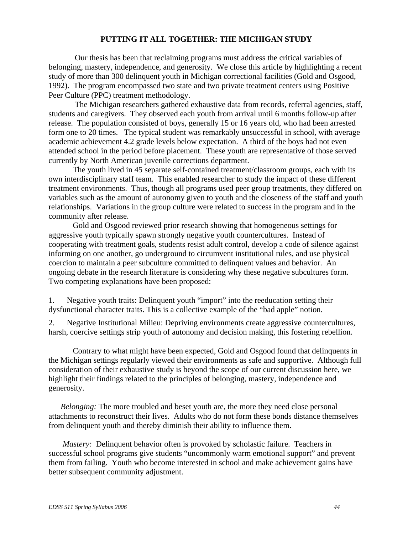### **PUTTING IT ALL TOGETHER: THE MICHIGAN STUDY**

 Our thesis has been that reclaiming programs must address the critical variables of belonging, mastery, independence, and generosity. We close this article by highlighting a recent study of more than 300 delinquent youth in Michigan correctional facilities (Gold and Osgood, 1992). The program encompassed two state and two private treatment centers using Positive Peer Culture (PPC) treatment methodology.

 The Michigan researchers gathered exhaustive data from records, referral agencies, staff, students and caregivers. They observed each youth from arrival until 6 months follow-up after release. The population consisted of boys, generally 15 or 16 years old, who had been arrested form one to 20 times. The typical student was remarkably unsuccessful in school, with average academic achievement 4.2 grade levels below expectation. A third of the boys had not even attended school in the period before placement. These youth are representative of those served currently by North American juvenile corrections department.

 The youth lived in 45 separate self-contained treatment/classroom groups, each with its own interdisciplinary staff team. This enabled researcher to study the impact of these different treatment environments. Thus, though all programs used peer group treatments, they differed on variables such as the amount of autonomy given to youth and the closeness of the staff and youth relationships. Variations in the group culture were related to success in the program and in the community after release.

 Gold and Osgood reviewed prior research showing that homogeneous settings for aggressive youth typically spawn strongly negative youth countercultures. Instead of cooperating with treatment goals, students resist adult control, develop a code of silence against informing on one another, go underground to circumvent institutional rules, and use physical coercion to maintain a peer subculture committed to delinquent values and behavior. An ongoing debate in the research literature is considering why these negative subcultures form. Two competing explanations have been proposed:

1. Negative youth traits: Delinquent youth "import" into the reeducation setting their dysfunctional character traits. This is a collective example of the "bad apple" notion.

2. Negative Institutional Milieu: Depriving environments create aggressive countercultures, harsh, coercive settings strip youth of autonomy and decision making, this fostering rebellion.

 Contrary to what might have been expected, Gold and Osgood found that delinquents in the Michigan settings regularly viewed their environments as safe and supportive. Although full consideration of their exhaustive study is beyond the scope of our current discussion here, we highlight their findings related to the principles of belonging, mastery, independence and generosity.

 *Belonging:* The more troubled and beset youth are, the more they need close personal attachments to reconstruct their lives. Adults who do not form these bonds distance themselves from delinquent youth and thereby diminish their ability to influence them.

 *Mastery:* Delinquent behavior often is provoked by scholastic failure. Teachers in successful school programs give students "uncommonly warm emotional support" and prevent them from failing. Youth who become interested in school and make achievement gains have better subsequent community adjustment.